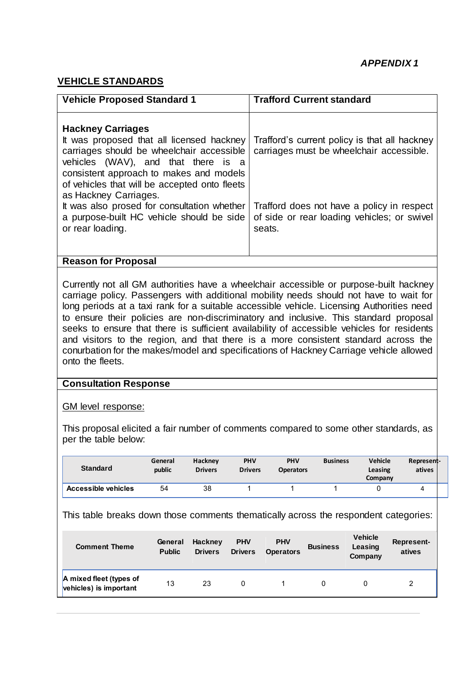# **VEHICLE STANDARDS**

| <b>Vehicle Proposed Standard 1</b>                                                                                                                                                                                                                                                                                                                                                             | <b>Trafford Current standard</b>                                                                                                                                                                 |
|------------------------------------------------------------------------------------------------------------------------------------------------------------------------------------------------------------------------------------------------------------------------------------------------------------------------------------------------------------------------------------------------|--------------------------------------------------------------------------------------------------------------------------------------------------------------------------------------------------|
| <b>Hackney Carriages</b><br>It was proposed that all licensed hackney<br>carriages should be wheelchair accessible<br>vehicles (WAV), and that there is a<br>consistent approach to makes and models<br>of vehicles that will be accepted onto fleets<br>as Hackney Carriages.<br>It was also prosed for consultation whether<br>a purpose-built HC vehicle should be side<br>or rear loading. | Trafford's current policy is that all hackney<br>carriages must be wheelchair accessible.<br>Trafford does not have a policy in respect<br>of side or rear loading vehicles; or swivel<br>seats. |
| <b>Reason for Proposal</b>                                                                                                                                                                                                                                                                                                                                                                     |                                                                                                                                                                                                  |

Currently not all GM authorities have a wheelchair accessible or purpose-built hackney carriage policy. Passengers with additional mobility needs should not have to wait for long periods at a taxi rank for a suitable accessible vehicle. Licensing Authorities need to ensure their policies are non-discriminatory and inclusive. This standard proposal seeks to ensure that there is sufficient availability of accessible vehicles for residents and visitors to the region, and that there is a more consistent standard across the conurbation for the makes/model and specifications of Hackney Carriage vehicle allowed onto the fleets.

#### **Consultation Response**

GM level response:

This proposal elicited a fair number of comments compared to some other standards, as per the table below:

| <b>Standard</b>            | General<br>public | Hackney<br><b>Drivers</b> | <b>PHV</b><br><b>Drivers</b> | <b>PHV</b><br><b>Operators</b> | <b>Business</b> | <b>Vehicle</b><br>Leasing<br>Company | <b>Represent-</b><br>atives |
|----------------------------|-------------------|---------------------------|------------------------------|--------------------------------|-----------------|--------------------------------------|-----------------------------|
| <b>Accessible vehicles</b> | 54                | 38                        |                              |                                |                 |                                      |                             |

This table breaks down those comments thematically across the respondent categories:

| <b>Comment Theme</b>                              | General<br><b>Public</b> | Hackney<br><b>Drivers</b> | <b>PHV</b><br><b>Drivers</b> | <b>PHV</b><br><b>Operators</b> | <b>Business</b> | <b>Vehicle</b><br>Leasing<br>Company | Represent-<br>atives |
|---------------------------------------------------|--------------------------|---------------------------|------------------------------|--------------------------------|-----------------|--------------------------------------|----------------------|
| A mixed fleet (types of<br>vehicles) is important | 13                       | 23                        | 0                            |                                | 0               |                                      | 2                    |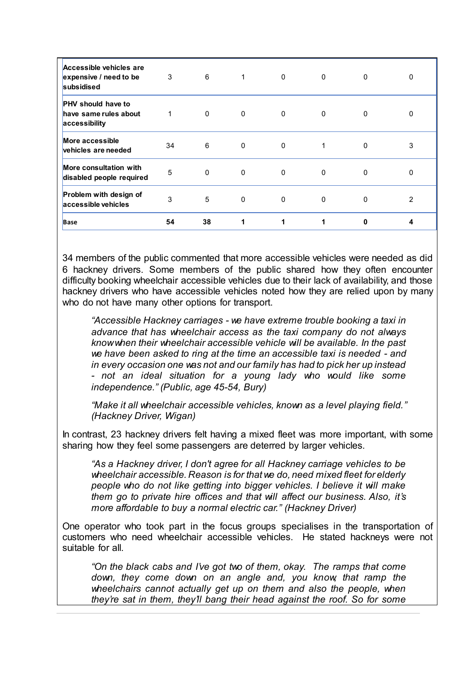| <b>Base</b>                                                         | 54 | 38       |              |             | 1            | 0            | 4              |
|---------------------------------------------------------------------|----|----------|--------------|-------------|--------------|--------------|----------------|
| Problem with design of<br>accessible vehicles                       | 3  | 5        | 0            | 0           | 0            | 0            | $\overline{2}$ |
| <b>More consultation with</b><br>disabled people required           | 5  | 0        | 0            | 0           | 0            | 0            | 0              |
| More accessible<br>vehicles are needed                              | 34 | 6        | $\mathbf{0}$ | 0           |              | 0            | 3              |
| <b>PHV</b> should have to<br>have same rules about<br>accessibility |    | $\Omega$ | $\mathbf{0}$ | 0           | $\mathbf{0}$ | 0            | 0              |
| Accessible vehicles are<br>expensive / need to be<br>subsidised     | 3  | 6        |              | $\mathbf 0$ | $\mathbf{0}$ | $\mathbf{0}$ | 0              |

34 members of the public commented that more accessible vehicles were needed as did 6 hackney drivers. Some members of the public shared how they often encounter difficulty booking wheelchair accessible vehicles due to their lack of availability, and those hackney drivers who have accessible vehicles noted how they are relied upon by many who do not have many other options for transport.

*"Accessible Hackney carriages - we have extreme trouble booking a taxi in advance that has wheelchair access as the taxi company do not always know when their wheelchair accessible vehicle will be available. In the past we have been asked to ring at the time an accessible taxi is needed - and in every occasion one was not and our family has had to pick her up instead - not an ideal situation for a young lady who would like some independence." (Public, age 45-54, Bury)*

*"Make it all wheelchair accessible vehicles, known as a level playing field." (Hackney Driver, Wigan)*

In contrast, 23 hackney drivers felt having a mixed fleet was more important, with some sharing how they feel some passengers are deterred by larger vehicles.

*"As a Hackney driver, I don't agree for all Hackney carriage vehicles to be wheelchair accessible. Reason is for that we do, need mixed fleet for elderly people who do not like getting into bigger vehicles. I believe it will make them go to private hire offices and that will affect our business. Also, it's more affordable to buy a normal electric car." (Hackney Driver)*

One operator who took part in the focus groups specialises in the transportation of customers who need wheelchair accessible vehicles. He stated hackneys were not suitable for all.

*"On the black cabs and I've got two of them, okay. The ramps that come down, they come down on an angle and, you know, that ramp the wheelchairs cannot actually get up on them and also the people, when they're sat in them, they'll bang their head against the roof. So for some*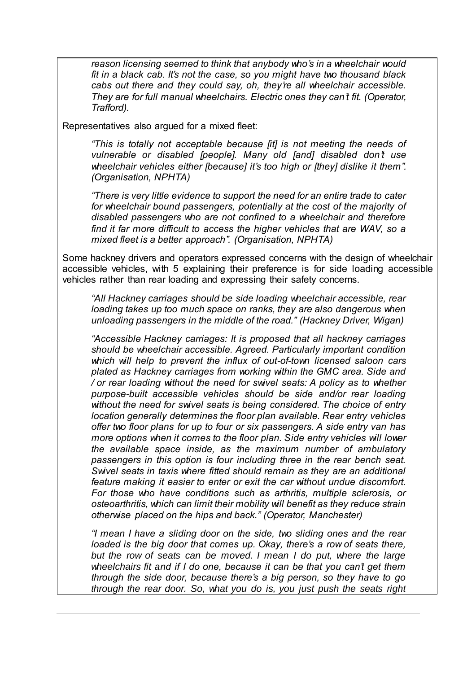*reason licensing seemed to think that anybody who's in a wheelchair would fit in a black cab. It's not the case, so you might have two thousand black cabs out there and they could say, oh, they're all wheelchair accessible. They are for full manual wheelchairs. Electric ones they can't fit. (Operator, Trafford).*

Representatives also argued for a mixed fleet:

*"This is totally not acceptable because [it] is not meeting the needs of vulnerable or disabled [people]. Many old [and] disabled don't use wheelchair vehicles either [because] it's too high or [they] dislike it them". (Organisation, NPHTA)*

*"There is very little evidence to support the need for an entire trade to cater for wheelchair bound passengers, potentially at the cost of the majority of disabled passengers who are not confined to a wheelchair and therefore find it far more difficult to access the higher vehicles that are WAV, so a mixed fleet is a better approach". (Organisation, NPHTA)*

Some hackney drivers and operators expressed concerns with the design of wheelchair accessible vehicles, with 5 explaining their preference is for side loading accessible vehicles rather than rear loading and expressing their safety concerns.

*"All Hackney carriages should be side loading wheelchair accessible, rear loading takes up too much space on ranks, they are also dangerous when unloading passengers in the middle of the road." (Hackney Driver, Wigan)*

*"Accessible Hackney carriages: It is proposed that all hackney carriages should be wheelchair accessible. Agreed. Particularly important condition which will help to prevent the influx of out-of-town licensed saloon cars plated as Hackney carriages from working within the GMC area. Side and / or rear loading without the need for swivel seats: A policy as to whether purpose-built accessible vehicles should be side and/or rear loading without the need for swivel seats is being considered. The choice of entry location generally determines the floor plan available. Rear entry vehicles offer two floor plans for up to four or six passengers. A side entry van has more options when it comes to the floor plan. Side entry vehicles will lower the available space inside, as the maximum number of ambulatory passengers in this option is four including three in the rear bench seat. Swivel seats in taxis where fitted should remain as they are an additional feature making it easier to enter or exit the car without undue discomfort. For those who have conditions such as arthritis, multiple sclerosis, or osteoarthritis, which can limit their mobility will benefit as they reduce strain otherwise placed on the hips and back." (Operator, Manchester)*

*"I mean I have a sliding door on the side, two sliding ones and the rear loaded is the big door that comes up. Okay, there's a row of seats there, but the row of seats can be moved. I mean I do put, where the large wheelchairs fit and if I do one, because it can be that you can't get them through the side door, because there's a big person, so they have to go through the rear door. So, what you do is, you just push the seats right*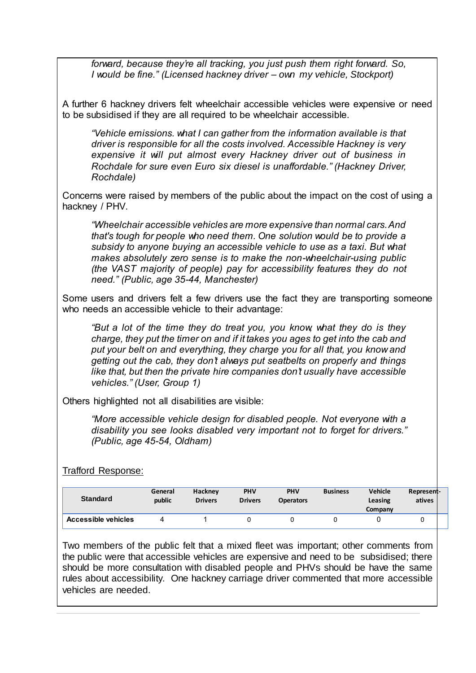*forward, because they're all tracking, you just push them right forward. So, I would be fine." (Licensed hackney driver – own my vehicle, Stockport)*

A further 6 hackney drivers felt wheelchair accessible vehicles were expensive or need to be subsidised if they are all required to be wheelchair accessible.

*"Vehicle emissions. what I can gather from the information available is that driver is responsible for all the costs involved. Accessible Hackney is very expensive it will put almost every Hackney driver out of business in Rochdale for sure even Euro six diesel is unaffordable." (Hackney Driver, Rochdale)*

Concerns were raised by members of the public about the impact on the cost of using a hackney / PHV.

*"Wheelchair accessible vehicles are more expensive than normal cars. And that's tough for people who need them. One solution would be to provide a subsidy to anyone buying an accessible vehicle to use as a taxi. But what makes absolutely zero sense is to make the non-wheelchair-using public (the VAST majority of people) pay for accessibility features they do not need." (Public, age 35-44, Manchester)*

Some users and drivers felt a few drivers use the fact they are transporting someone who needs an accessible vehicle to their advantage:

*"But a lot of the time they do treat you, you know, what they do is they charge, they put the timer on and if it takes you ages to get into the cab and put your belt on and everything, they charge you for all that, you know and getting out the cab, they don't always put seatbelts on properly and things like that, but then the private hire companies don't usually have accessible vehicles." (User, Group 1)*

Others highlighted not all disabilities are visible:

*"More accessible vehicle design for disabled people. Not everyone with a disability you see looks disabled very important not to forget for drivers." (Public, age 45-54, Oldham)*

Trafford Response:

| <b>Standard</b>            | General<br>public | <b>Hackney</b><br><b>Drivers</b> | <b>PHV</b><br><b>Drivers</b> | <b>PHV</b><br><b>Operators</b> | <b>Business</b> | <b>Vehicle</b><br>Leasing<br>Company | Represent-<br>atives |  |
|----------------------------|-------------------|----------------------------------|------------------------------|--------------------------------|-----------------|--------------------------------------|----------------------|--|
| <b>Accessible vehicles</b> |                   |                                  |                              |                                |                 |                                      |                      |  |

Two members of the public felt that a mixed fleet was important; other comments from the public were that accessible vehicles are expensive and need to be subsidised; there should be more consultation with disabled people and PHVs should be have the same rules about accessibility. One hackney carriage driver commented that more accessible vehicles are needed.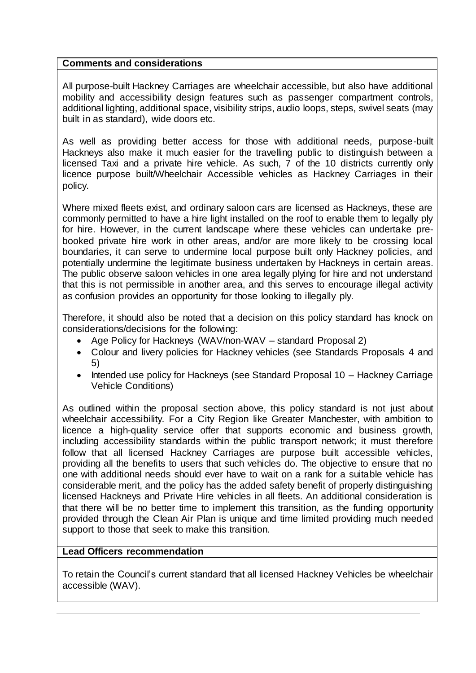#### **Comments and considerations**

All purpose-built Hackney Carriages are wheelchair accessible, but also have additional mobility and accessibility design features such as passenger compartment controls, additional lighting, additional space, visibility strips, audio loops, steps, swivel seats (may built in as standard), wide doors etc.

As well as providing better access for those with additional needs, purpose-built Hackneys also make it much easier for the travelling public to distinguish between a licensed Taxi and a private hire vehicle. As such, 7 of the 10 districts currently only licence purpose built/Wheelchair Accessible vehicles as Hackney Carriages in their policy.

Where mixed fleets exist, and ordinary saloon cars are licensed as Hackneys, these are commonly permitted to have a hire light installed on the roof to enable them to legally ply for hire. However, in the current landscape where these vehicles can undertake prebooked private hire work in other areas, and/or are more likely to be crossing local boundaries, it can serve to undermine local purpose built only Hackney policies, and potentially undermine the legitimate business undertaken by Hackneys in certain areas. The public observe saloon vehicles in one area legally plying for hire and not understand that this is not permissible in another area, and this serves to encourage illegal activity as confusion provides an opportunity for those looking to illegally ply.

Therefore, it should also be noted that a decision on this policy standard has knock on considerations/decisions for the following:

- Age Policy for Hackneys (WAV/non-WAV standard Proposal 2)
- Colour and livery policies for Hackney vehicles (see Standards Proposals 4 and 5)
- Intended use policy for Hackneys (see Standard Proposal 10 Hackney Carriage Vehicle Conditions)

As outlined within the proposal section above, this policy standard is not just about wheelchair accessibility. For a City Region like Greater Manchester, with ambition to licence a high-quality service offer that supports economic and business growth, including accessibility standards within the public transport network; it must therefore follow that all licensed Hackney Carriages are purpose built accessible vehicles, providing all the benefits to users that such vehicles do. The objective to ensure that no one with additional needs should ever have to wait on a rank for a suitable vehicle has considerable merit, and the policy has the added safety benefit of properly distinguishing licensed Hackneys and Private Hire vehicles in all fleets. An additional consideration is that there will be no better time to implement this transition, as the funding opportunity provided through the Clean Air Plan is unique and time limited providing much needed support to those that seek to make this transition.

# **Lead Officers recommendation**

To retain the Council's current standard that all licensed Hackney Vehicles be wheelchair accessible (WAV).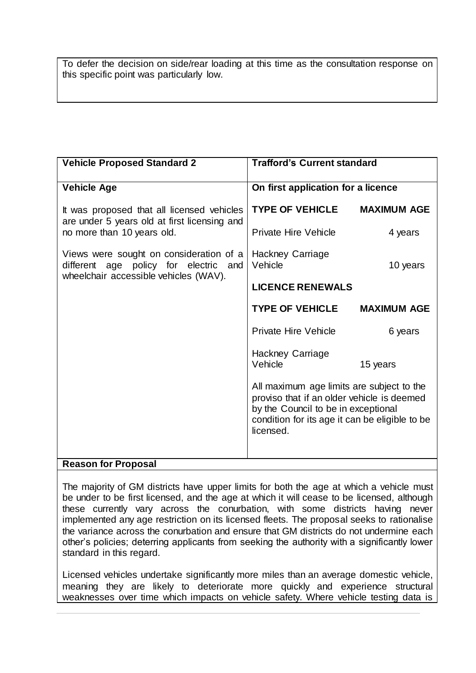To defer the decision on side/rear loading at this time as the consultation response on this specific point was particularly low.

| <b>Vehicle Proposed Standard 2</b>                                                                                        | <b>Trafford's Current standard</b>                                                                                                                                                            |                    |  |  |  |
|---------------------------------------------------------------------------------------------------------------------------|-----------------------------------------------------------------------------------------------------------------------------------------------------------------------------------------------|--------------------|--|--|--|
| <b>Vehicle Age</b>                                                                                                        | On first application for a licence                                                                                                                                                            |                    |  |  |  |
| It was proposed that all licensed vehicles<br>are under 5 years old at first licensing and                                | <b>TYPE OF VEHICLE</b>                                                                                                                                                                        | <b>MAXIMUM AGE</b> |  |  |  |
| no more than 10 years old.                                                                                                | <b>Private Hire Vehicle</b>                                                                                                                                                                   | 4 years            |  |  |  |
| Views were sought on consideration of a<br>different age policy for electric and<br>wheelchair accessible vehicles (WAV). | Hackney Carriage<br>Vehicle                                                                                                                                                                   | 10 years           |  |  |  |
|                                                                                                                           | <b>LICENCE RENEWALS</b>                                                                                                                                                                       |                    |  |  |  |
|                                                                                                                           | <b>TYPE OF VEHICLE</b>                                                                                                                                                                        | <b>MAXIMUM AGE</b> |  |  |  |
|                                                                                                                           | Private Hire Vehicle                                                                                                                                                                          | 6 years            |  |  |  |
|                                                                                                                           | Hackney Carriage<br>Vehicle                                                                                                                                                                   | 15 years           |  |  |  |
|                                                                                                                           | All maximum age limits are subject to the<br>proviso that if an older vehicle is deemed<br>by the Council to be in exceptional<br>condition for its age it can be eligible to be<br>licensed. |                    |  |  |  |
| <b>Reason for Proposal</b>                                                                                                |                                                                                                                                                                                               |                    |  |  |  |

# **Reason for Proposal**

The majority of GM districts have upper limits for both the age at which a vehicle must be under to be first licensed, and the age at which it will cease to be licensed, although these currently vary across the conurbation, with some districts having never implemented any age restriction on its licensed fleets. The proposal seeks to rationalise the variance across the conurbation and ensure that GM districts do not undermine each other's policies; deterring applicants from seeking the authority with a significantly lower standard in this regard.

Licensed vehicles undertake significantly more miles than an average domestic vehicle, meaning they are likely to deteriorate more quickly and experience structural weaknesses over time which impacts on vehicle safety. Where vehicle testing data is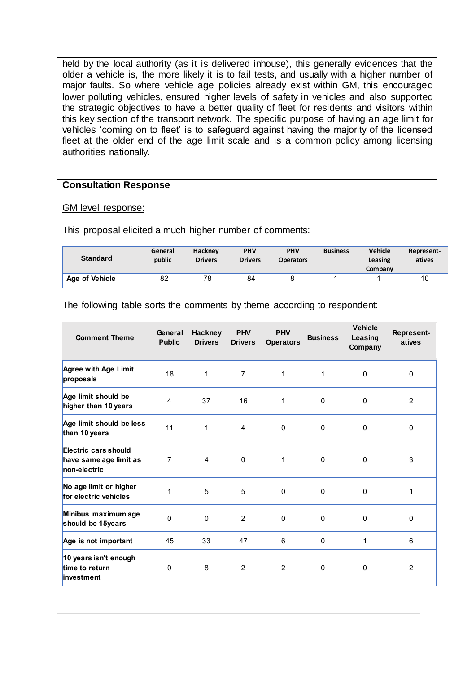held by the local authority (as it is delivered inhouse), this generally evidences that the older a vehicle is, the more likely it is to fail tests, and usually with a higher number of major faults. So where vehicle age policies already exist within GM, this encouraged lower polluting vehicles, ensured higher levels of safety in vehicles and also supported the strategic objectives to have a better quality of fleet for residents and visitors within this key section of the transport network. The specific purpose of having an age limit for vehicles 'coming on to fleet' is to safeguard against having the majority of the licensed fleet at the older end of the age limit scale and is a common policy among licensing authorities nationally.

#### **Consultation Response**

#### GM level response:

This proposal elicited a much higher number of comments:

| <b>Standard</b>       | General<br>public | <b>Hackney</b><br><b>Drivers</b> | <b>PHV</b><br><b>Drivers</b> | <b>PHV</b><br><b>Operators</b> | <b>Business</b> | Vehicle<br>Leasing<br>Company | Represent-<br>atives |  |
|-----------------------|-------------------|----------------------------------|------------------------------|--------------------------------|-----------------|-------------------------------|----------------------|--|
| <b>Age of Vehicle</b> | 82                | 78                               | 84                           |                                |                 |                               | 10                   |  |

The following table sorts the comments by theme according to respondent:

| <b>Comment Theme</b>                                           | General<br><b>Public</b> | <b>Hackney</b><br><b>Drivers</b> | <b>PHV</b><br><b>Drivers</b> | <b>PHV</b><br><b>Operators</b> | <b>Business</b> | <b>Vehicle</b><br>Leasing<br>Company | <b>Represent-</b><br>atives |
|----------------------------------------------------------------|--------------------------|----------------------------------|------------------------------|--------------------------------|-----------------|--------------------------------------|-----------------------------|
| Agree with Age Limit<br>proposals                              | 18                       | 1                                | $\overline{7}$               | 1                              | 1               | $\Omega$                             | $\mathbf{0}$                |
| Age limit should be<br>higher than 10 years                    | 4                        | 37                               | 16                           | 1                              | $\mathbf 0$     | $\mathbf 0$                          | 2                           |
| Age limit should be less<br>than 10 years                      | 11                       | 1                                | $\overline{4}$               | $\mathbf 0$                    | $\mathbf 0$     | $\mathbf 0$                          | 0                           |
| Electric cars should<br>have same age limit as<br>non-electric | $\overline{7}$           | $\overline{4}$                   | $\mathbf 0$                  | 1                              | $\mathbf{0}$    | 0                                    | 3                           |
| No age limit or higher<br>for electric vehicles                | 1                        | 5                                | 5                            | $\mathbf 0$                    | $\mathbf 0$     | $\mathbf 0$                          | 1                           |
| Minibus maximum age<br>should be 15years                       | $\Omega$                 | $\Omega$                         | $\overline{2}$               | $\mathbf 0$                    | $\Omega$        | $\mathbf 0$                          | $\Omega$                    |
| Age is not important                                           | 45                       | 33                               | 47                           | 6                              | $\mathbf 0$     | 1                                    | 6                           |
| 10 years isn't enough<br>time to return<br>investment          | $\Omega$                 | 8                                | 2                            | $\overline{2}$                 | 0               | 0                                    | 2                           |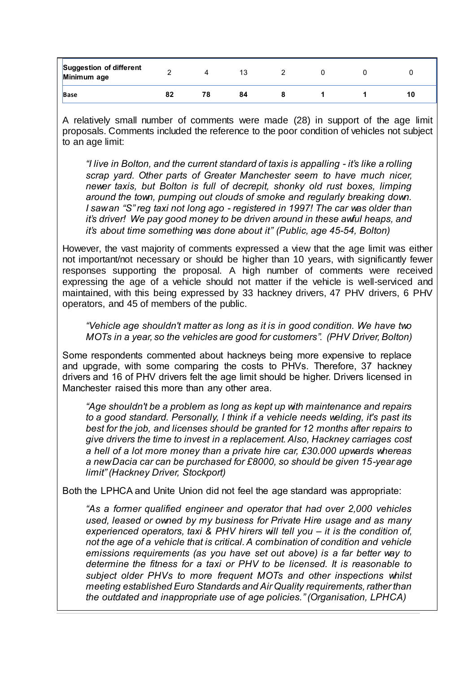| <b>Suggestion of different</b><br>Minimum age |    |     | 13 |  |    |
|-----------------------------------------------|----|-----|----|--|----|
| <b>Base</b>                                   | 82 | 78. | 84 |  | 10 |

A relatively small number of comments were made (28) in support of the age limit proposals. Comments included the reference to the poor condition of vehicles not subject to an age limit:

*"I live in Bolton, and the current standard of taxis is appalling - it's like a rolling scrap yard. Other parts of Greater Manchester seem to have much nicer, newer taxis, but Bolton is full of decrepit, shonky old rust boxes, limping around the town, pumping out clouds of smoke and regularly breaking down. I saw an "S" reg taxi not long ago - registered in 1997! The car was older than it's driver! We pay good money to be driven around in these awful heaps, and it's about time something was done about it" (Public, age 45-54, Bolton)*

However, the vast majority of comments expressed a view that the age limit was either not important/not necessary or should be higher than 10 years, with significantly fewer responses supporting the proposal. A high number of comments were received expressing the age of a vehicle should not matter if the vehicle is well-serviced and maintained, with this being expressed by 33 hackney drivers, 47 PHV drivers, 6 PHV operators, and 45 of members of the public.

*"Vehicle age shouldn't matter as long as it is in good condition. We have two MOTs in a year, so the vehicles are good for customers". (PHV Driver, Bolton)*

Some respondents commented about hackneys being more expensive to replace and upgrade, with some comparing the costs to PHVs. Therefore, 37 hackney drivers and 16 of PHV drivers felt the age limit should be higher. Drivers licensed in Manchester raised this more than any other area.

*"Age shouldn't be a problem as long as kept up with maintenance and repairs to a good standard. Personally, I think if a vehicle needs welding, it's past its best for the job, and licenses should be granted for 12 months after repairs to give drivers the time to invest in a replacement. Also, Hackney carriages cost a hell of a lot more money than a private hire car, £30.000 upwards whereas a new Dacia car can be purchased for £8000, so should be given 15-year age limit" (Hackney Driver, Stockport)*

Both the LPHCA and Unite Union did not feel the age standard was appropriate:

*"As a former qualified engineer and operator that had over 2,000 vehicles used, leased or owned by my business for Private Hire usage and as many experienced operators, taxi & PHV hirers will tell you – it is the condition of, not the age of a vehicle that is critical. A combination of condition and vehicle emissions requirements (as you have set out above) is a far better way to determine the fitness for a taxi or PHV to be licensed. It is reasonable to subject older PHVs to more frequent MOTs and other inspections whilst meeting established Euro Standards and Air Quality requirements, rather than the outdated and inappropriate use of age policies." (Organisation, LPHCA)*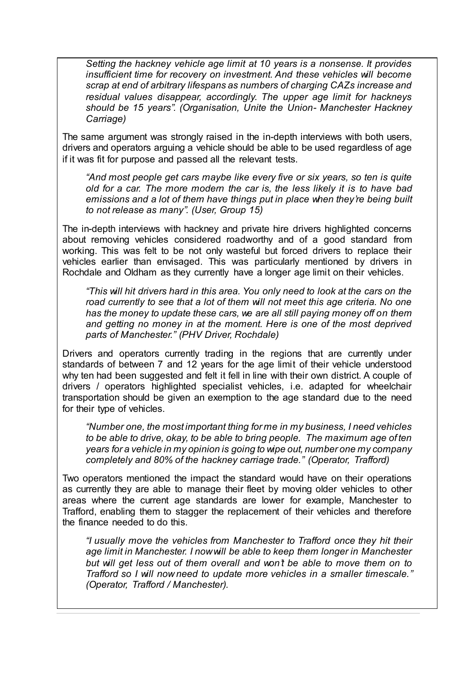*Setting the hackney vehicle age limit at 10 years is a nonsense. It provides insufficient time for recovery on investment. And these vehicles will become scrap at end of arbitrary lifespans as numbers of charging CAZs increase and residual values disappear, accordingly. The upper age limit for hackneys should be 15 years". (Organisation, Unite the Union- Manchester Hackney Carriage)*

The same argument was strongly raised in the in-depth interviews with both users, drivers and operators arguing a vehicle should be able to be used regardless of age if it was fit for purpose and passed all the relevant tests.

*"And most people get cars maybe like every five or six years, so ten is quite old for a car. The more modern the car is, the less likely it is to have bad emissions and a lot of them have things put in place when they're being built to not release as many". (User, Group 15)*

The in-depth interviews with hackney and private hire drivers highlighted concerns about removing vehicles considered roadworthy and of a good standard from working. This was felt to be not only wasteful but forced drivers to replace their vehicles earlier than envisaged. This was particularly mentioned by drivers in Rochdale and Oldham as they currently have a longer age limit on their vehicles.

*"This will hit drivers hard in this area. You only need to look at the cars on the*  road currently to see that a lot of them will not meet this age criteria. No one *has the money to update these cars, we are all still paying money off on them and getting no money in at the moment. Here is one of the most deprived parts of Manchester." (PHV Driver, Rochdale)*

Drivers and operators currently trading in the regions that are currently under standards of between 7 and 12 years for the age limit of their vehicle understood why ten had been suggested and felt it fell in line with their own district. A couple of drivers / operators highlighted specialist vehicles, i.e. adapted for wheelchair transportation should be given an exemption to the age standard due to the need for their type of vehicles.

*"Number one, the most important thing for me in my business, I need vehicles to be able to drive, okay, to be able to bring people. The maximum age of ten years for a vehicle in my opinion is going to wipe out, number one my company completely and 80% of the hackney carriage trade." (Operator, Trafford)*

Two operators mentioned the impact the standard would have on their operations as currently they are able to manage their fleet by moving older vehicles to other areas where the current age standards are lower for example, Manchester to Trafford, enabling them to stagger the replacement of their vehicles and therefore the finance needed to do this.

*"I usually move the vehicles from Manchester to Trafford once they hit their age limit in Manchester. I now will be able to keep them longer in Manchester but will get less out of them overall and won't be able to move them on to Trafford so I will now need to update more vehicles in a smaller timescale." (Operator, Trafford / Manchester).*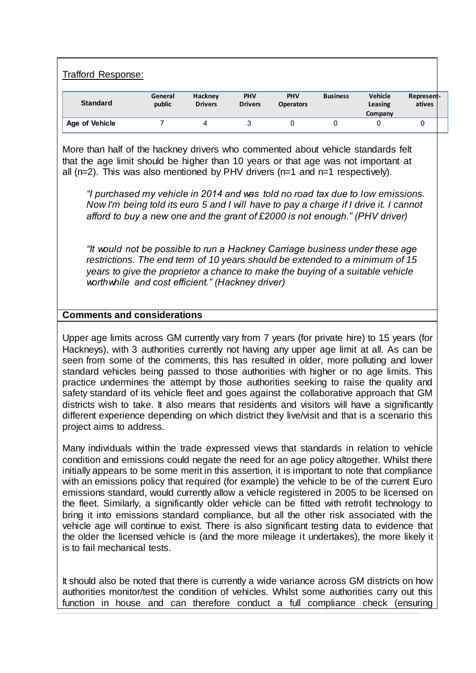Trafford Response:

| <b>Standard</b> | General<br>public | Hackney<br><b>Drivers</b> | PHV<br><b>Drivers</b> | <b>PHV</b><br><b>Operators</b> | <b>Business</b> | <b>Vehicle</b><br>Leasing<br>Company | Represent-<br>atives |  |
|-----------------|-------------------|---------------------------|-----------------------|--------------------------------|-----------------|--------------------------------------|----------------------|--|
| Age of Vehicle  |                   |                           |                       |                                |                 |                                      | ື                    |  |

More than half of the hackney drivers who commented about vehicle standards felt that the age limit should be higher than 10 years or that age was not important at all  $(n=2)$ . This was also mentioned by PHV drivers  $(n=1)$  and  $n=1$  respectively).

*"I purchased my vehicle in 2014 and was told no road tax due to low emissions. Now I'm being told its euro 5 and I will have to pay a charge if I drive it. I cannot afford to buy a new one and the grant of £2000 is not enough." (PHV driver)*

*"It would not be possible to run a Hackney Carriage business under these age restrictions. The end term of 10 years should be extended to a minimum of 15 years to give the proprietor a chance to make the buying of a suitable vehicle worthwhile and cost efficient." (Hackney driver)*

#### **Comments and considerations**

Upper age limits across GM currently vary from 7 years (for private hire) to 15 years (for Hackneys), with 3 authorities currently not having any upper age limit at all. As can be seen from some of the comments, this has resulted in older, more polluting and lower standard vehicles being passed to those authorities with higher or no age limits. This practice undermines the attempt by those authorities seeking to raise the quality and safety standard of its vehicle fleet and goes against the collaborative approach that GM districts wish to take. It also means that residents and visitors will have a significantly different experience depending on which district they live/visit and that is a scenario this project aims to address.

Many individuals within the trade expressed views that standards in relation to vehicle condition and emissions could negate the need for an age policy altogether. Whilst there initially appears to be some merit in this assertion, it is important to note that compliance with an emissions policy that required (for example) the vehicle to be of the current Euro emissions standard, would currently allow a vehicle registered in 2005 to be licensed on the fleet. Similarly, a significantly older vehicle can be fitted with retrofit technology to bring it into emissions standard compliance, but all the other risk associated with the vehicle age will continue to exist. There is also significant testing data to evidence that the older the licensed vehicle is (and the more mileage it undertakes), the more likely it is to fail mechanical tests.

It should also be noted that there is currently a wide variance across GM districts on how authorities monitor/test the condition of vehicles. Whilst some authorities carry out this function in house and can therefore conduct a full compliance check (ensuring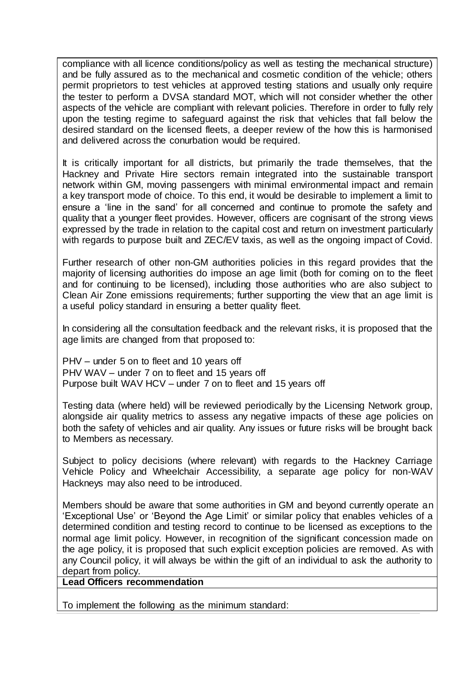compliance with all licence conditions/policy as well as testing the mechanical structure) and be fully assured as to the mechanical and cosmetic condition of the vehicle; others permit proprietors to test vehicles at approved testing stations and usually only require the tester to perform a DVSA standard MOT, which will not consider whether the other aspects of the vehicle are compliant with relevant policies. Therefore in order to fully rely upon the testing regime to safeguard against the risk that vehicles that fall below the desired standard on the licensed fleets, a deeper review of the how this is harmonised and delivered across the conurbation would be required.

It is critically important for all districts, but primarily the trade themselves, that the Hackney and Private Hire sectors remain integrated into the sustainable transport network within GM, moving passengers with minimal environmental impact and remain a key transport mode of choice. To this end, it would be desirable to implement a limit to ensure a 'line in the sand' for all concerned and continue to promote the safety and quality that a younger fleet provides. However, officers are cognisant of the strong views expressed by the trade in relation to the capital cost and return on investment particularly with regards to purpose built and ZEC/EV taxis, as well as the ongoing impact of Covid.

Further research of other non-GM authorities policies in this regard provides that the majority of licensing authorities do impose an age limit (both for coming on to the fleet and for continuing to be licensed), including those authorities who are also subject to Clean Air Zone emissions requirements; further supporting the view that an age limit is a useful policy standard in ensuring a better quality fleet.

In considering all the consultation feedback and the relevant risks, it is proposed that the age limits are changed from that proposed to:

PHV – under 5 on to fleet and 10 years off PHV WAV – under 7 on to fleet and 15 years off Purpose built WAV HCV – under 7 on to fleet and 15 years off

Testing data (where held) will be reviewed periodically by the Licensing Network group, alongside air quality metrics to assess any negative impacts of these age policies on both the safety of vehicles and air quality. Any issues or future risks will be brought back to Members as necessary.

Subject to policy decisions (where relevant) with regards to the Hackney Carriage Vehicle Policy and Wheelchair Accessibility, a separate age policy for non-WAV Hackneys may also need to be introduced.

Members should be aware that some authorities in GM and beyond currently operate an 'Exceptional Use' or 'Beyond the Age Limit' or similar policy that enables vehicles of a determined condition and testing record to continue to be licensed as exceptions to the normal age limit policy. However, in recognition of the significant concession made on the age policy, it is proposed that such explicit exception policies are removed. As with any Council policy, it will always be within the gift of an individual to ask the authority to depart from policy.

**Lead Officers recommendation**

To implement the following as the minimum standard: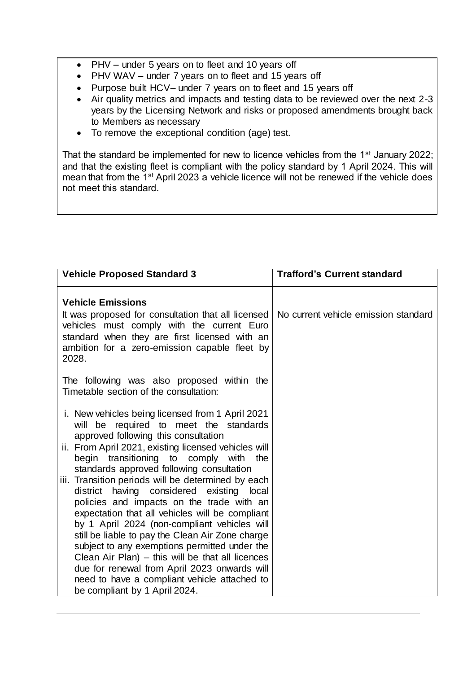- PHV under 5 years on to fleet and 10 years off
- PHV WAV under 7 years on to fleet and 15 years off
- Purpose built HCV– under 7 years on to fleet and 15 years off
- Air quality metrics and impacts and testing data to be reviewed over the next 2-3 years by the Licensing Network and risks or proposed amendments brought back to Members as necessary
- To remove the exceptional condition (age) test.

That the standard be implemented for new to licence vehicles from the 1<sup>st</sup> January 2022; and that the existing fleet is compliant with the policy standard by 1 April 2024. This will mean that from the 1<sup>st</sup> April 2023 a vehicle licence will not be renewed if the vehicle does not meet this standard.

| <b>Vehicle Proposed Standard 3</b>                                                                                                                                                                                                                                                                                                                                                                                                                                                                                                                                                                                                                                                                                                                                                                                             | <b>Trafford's Current standard</b>   |
|--------------------------------------------------------------------------------------------------------------------------------------------------------------------------------------------------------------------------------------------------------------------------------------------------------------------------------------------------------------------------------------------------------------------------------------------------------------------------------------------------------------------------------------------------------------------------------------------------------------------------------------------------------------------------------------------------------------------------------------------------------------------------------------------------------------------------------|--------------------------------------|
| <b>Vehicle Emissions</b><br>It was proposed for consultation that all licensed<br>vehicles must comply with the current Euro<br>standard when they are first licensed with an<br>ambition for a zero-emission capable fleet by<br>2028.                                                                                                                                                                                                                                                                                                                                                                                                                                                                                                                                                                                        | No current vehicle emission standard |
| The following was also proposed within the<br>Timetable section of the consultation:                                                                                                                                                                                                                                                                                                                                                                                                                                                                                                                                                                                                                                                                                                                                           |                                      |
| i. New vehicles being licensed from 1 April 2021<br>will be required to meet the standards<br>approved following this consultation<br>ii. From April 2021, existing licensed vehicles will<br>begin transitioning to comply with the<br>standards approved following consultation<br>iii. Transition periods will be determined by each<br>district having considered existing local<br>policies and impacts on the trade with an<br>expectation that all vehicles will be compliant<br>by 1 April 2024 (non-compliant vehicles will<br>still be liable to pay the Clean Air Zone charge<br>subject to any exemptions permitted under the<br>Clean Air Plan) – this will be that all licences<br>due for renewal from April 2023 onwards will<br>need to have a compliant vehicle attached to<br>be compliant by 1 April 2024. |                                      |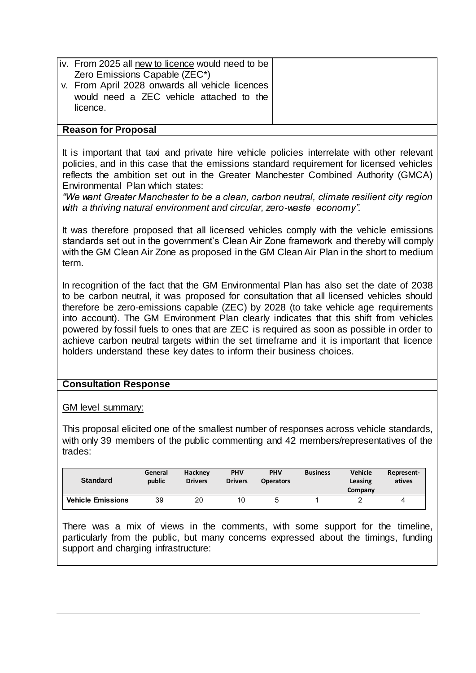| iv. From 2025 all new to licence would need to be<br>Zero Emissions Capable (ZEC*)<br>v. From April 2028 onwards all vehicle licences<br>would need a ZEC vehicle attached to the<br>licence. |  |
|-----------------------------------------------------------------------------------------------------------------------------------------------------------------------------------------------|--|
| <b>Reason for Proposal</b>                                                                                                                                                                    |  |

It is important that taxi and private hire vehicle policies interrelate with other relevant policies, and in this case that the emissions standard requirement for licensed vehicles reflects the ambition set out in the Greater Manchester Combined Authority (GMCA) Environmental Plan which states:

*"We want Greater Manchester to be a clean, carbon neutral, climate resilient city region with a thriving natural environment and circular, zero-waste economy".* 

It was therefore proposed that all licensed vehicles comply with the vehicle emissions standards set out in the government's Clean Air Zone framework and thereby will comply with the GM Clean Air Zone as proposed in the GM Clean Air Plan in the short to medium term.

In recognition of the fact that the GM Environmental Plan has also set the date of 2038 to be carbon neutral, it was proposed for consultation that all licensed vehicles should therefore be zero-emissions capable (ZEC) by 2028 (to take vehicle age requirements into account). The GM Environment Plan clearly indicates that this shift from vehicles powered by fossil fuels to ones that are ZEC is required as soon as possible in order to achieve carbon neutral targets within the set timeframe and it is important that licence holders understand these key dates to inform their business choices.

# **Consultation Response**

GM level summary:

This proposal elicited one of the smallest number of responses across vehicle standards, with only 39 members of the public commenting and 42 members/representatives of the trades:

| <b>Standard</b>          | General<br>public | Hackney<br><b>Drivers</b> | <b>PHV</b><br><b>Drivers</b> | <b>PHV</b><br><b>Operators</b> | <b>Business</b> | <b>Vehicle</b><br>Leasing<br>Company | Represent-<br>atives |
|--------------------------|-------------------|---------------------------|------------------------------|--------------------------------|-----------------|--------------------------------------|----------------------|
| <b>Vehicle Emissions</b> | 39                | 20                        | 10                           | 5                              |                 |                                      |                      |

There was a mix of views in the comments, with some support for the timeline, particularly from the public, but many concerns expressed about the timings, funding support and charging infrastructure: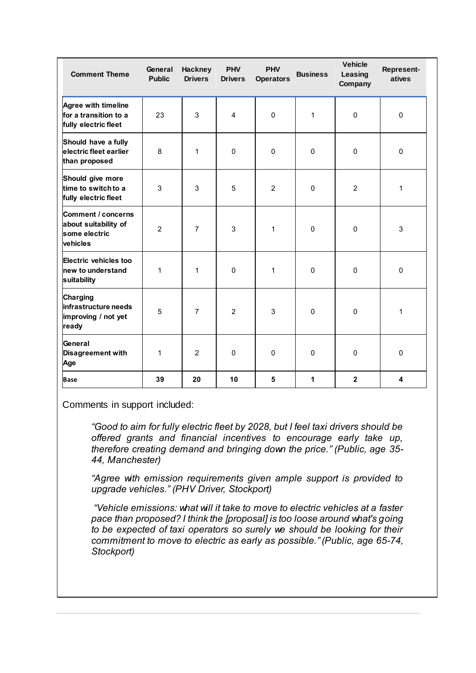| <b>Comment Theme</b>                                                    | General<br><b>Public</b> | <b>Hackney</b><br><b>Drivers</b> | <b>PHV</b><br><b>Drivers</b> | <b>PHV</b><br><b>Operators</b> | <b>Business</b> | <b>Vehicle</b><br>Leasing<br>Company | Represent-<br>atives    |
|-------------------------------------------------------------------------|--------------------------|----------------------------------|------------------------------|--------------------------------|-----------------|--------------------------------------|-------------------------|
| Agree with timeline<br>for a transition to a<br>fully electric fleet    | 23                       | 3                                | 4                            | $\Omega$                       | 1               | 0                                    | $\pmb{0}$               |
| Should have a fully<br>electric fleet earlier<br>than proposed          | 8                        | 1                                | $\Omega$                     | $\Omega$                       | $\Omega$        | $\Omega$                             | $\pmb{0}$               |
| Should give more<br>time to switch to a<br>fully electric fleet         | 3                        | 3                                | 5                            | 2                              | $\mathbf{0}$    | $\overline{2}$                       | $\mathbf{1}$            |
| Comment / concerns<br>about suitability of<br>some electric<br>vehicles | $\overline{2}$           | $\overline{7}$                   | 3                            | 1                              | $\Omega$        | $\Omega$                             | 3                       |
| Electric vehicles too<br>new to understand<br>suitability               | $\mathbf{1}$             | 1                                | $\Omega$                     | 1                              | $\Omega$        | $\pmb{0}$                            | $\pmb{0}$               |
| <b>Charging</b><br>infrastructure needs<br>improving / not yet<br>ready | 5                        | $\overline{7}$                   | $\overline{2}$               | 3                              | $\Omega$        | $\Omega$                             | $\mathbf{1}$            |
| General<br><b>Disagreement with</b><br>Age                              | $\mathbf{1}$             | 2                                | $\Omega$                     | $\Omega$                       | $\Omega$        | $\mathbf 0$                          | $\mathsf 0$             |
| <b>Base</b>                                                             | 39                       | 20                               | 10                           | 5                              | 1               | $\overline{2}$                       | $\overline{\mathbf{4}}$ |

Comments in support included:

*"Good to aim for fully electric fleet by 2028, but I feel taxi drivers should be offered grants and financial incentives to encourage early take up, therefore creating demand and bringing down the price." (Public, age 35- 44, Manchester)*

*"Agree with emission requirements given ample support is provided to upgrade vehicles." (PHV Driver, Stockport)*

*"Vehicle emissions: what will it take to move to electric vehicles at a faster pace than proposed? I think the [proposal] is too loose around what's going to be expected of taxi operators so surely we should be looking for their commitment to move to electric as early as possible." (Public, age 65-74, Stockport)*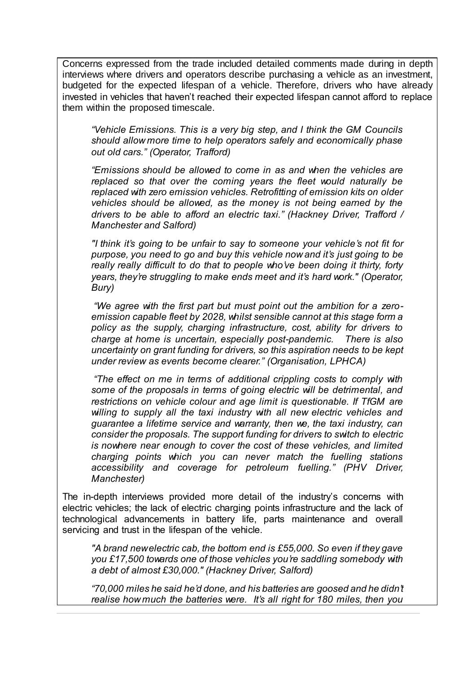Concerns expressed from the trade included detailed comments made during in depth interviews where drivers and operators describe purchasing a vehicle as an investment, budgeted for the expected lifespan of a vehicle. Therefore, drivers who have already invested in vehicles that haven't reached their expected lifespan cannot afford to replace them within the proposed timescale.

*"Vehicle Emissions. This is a very big step, and I think the GM Councils should allow more time to help operators safely and economically phase out old cars." (Operator, Trafford)*

*"Emissions should be allowed to come in as and when the vehicles are replaced so that over the coming years the fleet would naturally be replaced with zero emission vehicles. Retrofitting of emission kits on older vehicles should be allowed, as the money is not being earned by the drivers to be able to afford an electric taxi." (Hackney Driver, Trafford / Manchester and Salford)*

*"I think it's going to be unfair to say to someone your vehicle's not fit for purpose, you need to go and buy this vehicle now and it's just going to be really really difficult to do that to people who've been doing it thirty, forty years, they're struggling to make ends meet and it's hard work." (Operator, Bury)*

*"We agree with the first part but must point out the ambition for a zeroemission capable fleet by 2028, whilst sensible cannot at this stage form a policy as the supply, charging infrastructure, cost, ability for drivers to charge at home is uncertain, especially post-pandemic. There is also uncertainty on grant funding for drivers, so this aspiration needs to be kept under review as events become clearer." (Organisation, LPHCA)*

*"The effect on me in terms of additional crippling costs to comply with some of the proposals in terms of going electric will be detrimental, and restrictions on vehicle colour and age limit is questionable. If TfGM are willing to supply all the taxi industry with all new electric vehicles and guarantee a lifetime service and warranty, then we, the taxi industry, can consider the proposals. The support funding for drivers to switch to electric is nowhere near enough to cover the cost of these vehicles, and limited charging points which you can never match the fuelling stations accessibility and coverage for petroleum fuelling." (PHV Driver, Manchester)*

The in-depth interviews provided more detail of the industry's concerns with electric vehicles; the lack of electric charging points infrastructure and the lack of technological advancements in battery life, parts maintenance and overall servicing and trust in the lifespan of the vehicle.

*"A brand new electric cab, the bottom end is £55,000. So even if they gave you £17,500 towards one of those vehicles you're saddling somebody with a debt of almost £30,000." (Hackney Driver, Salford)*

*"70,000 miles he said he'd done, and his batteries are goosed and he didn't realise how much the batteries were. It's all right for 180 miles, then you*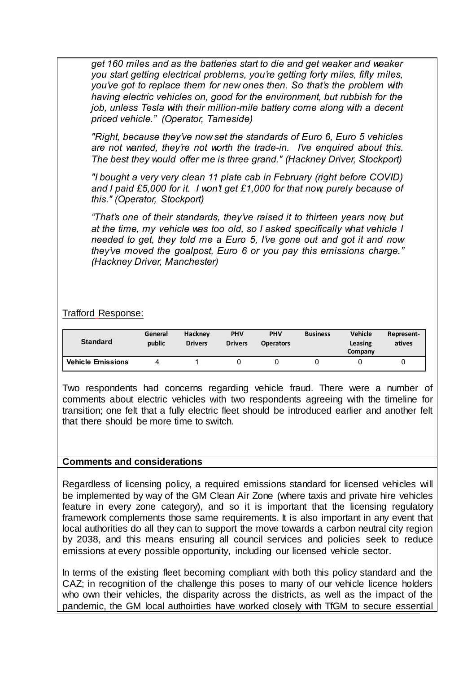*get 160 miles and as the batteries start to die and get weaker and weaker you start getting electrical problems, you're getting forty miles, fifty miles, you've got to replace them for new ones then. So that's the problem with having electric vehicles on, good for the environment, but rubbish for the job, unless Tesla with their million-mile battery come along with a decent priced vehicle." (Operator, Tameside)*

*"Right, because they've now set the standards of Euro 6, Euro 5 vehicles are not wanted, they're not worth the trade-in. I've enquired about this. The best they would offer me is three grand." (Hackney Driver, Stockport)*

*"I bought a very very clean 11 plate cab in February (right before COVID) and I paid £5,000 for it. I won't get £1,000 for that now, purely because of this." (Operator, Stockport)*

*"That's one of their standards, they've raised it to thirteen years now, but at the time, my vehicle was too old, so I asked specifically what vehicle I needed to get, they told me a Euro 5, I've gone out and got it and now they've moved the goalpost, Euro 6 or you pay this emissions charge." (Hackney Driver, Manchester)*

Trafford Response:

| <b>Standard</b>          | General<br>public | <b>Hackney</b><br><b>Drivers</b> | <b>PHV</b><br><b>Drivers</b> | <b>PHV</b><br><b>Operators</b> | <b>Business</b> | <b>Vehicle</b><br>Leasing<br>Company | Represent-<br>atives |
|--------------------------|-------------------|----------------------------------|------------------------------|--------------------------------|-----------------|--------------------------------------|----------------------|
| <b>Vehicle Emissions</b> |                   |                                  |                              |                                |                 |                                      |                      |

Two respondents had concerns regarding vehicle fraud. There were a number of comments about electric vehicles with two respondents agreeing with the timeline for transition; one felt that a fully electric fleet should be introduced earlier and another felt that there should be more time to switch.

# **Comments and considerations**

Regardless of licensing policy, a required emissions standard for licensed vehicles will be implemented by way of the GM Clean Air Zone (where taxis and private hire vehicles feature in every zone category), and so it is important that the licensing regulatory framework complements those same requirements. It is also important in any event that local authorities do all they can to support the move towards a carbon neutral city region by 2038, and this means ensuring all council services and policies seek to reduce emissions at every possible opportunity, including our licensed vehicle sector.

In terms of the existing fleet becoming compliant with both this policy standard and the CAZ; in recognition of the challenge this poses to many of our vehicle licence holders who own their vehicles, the disparity across the districts, as well as the impact of the pandemic, the GM local authoirties have worked closely with TfGM to secure essential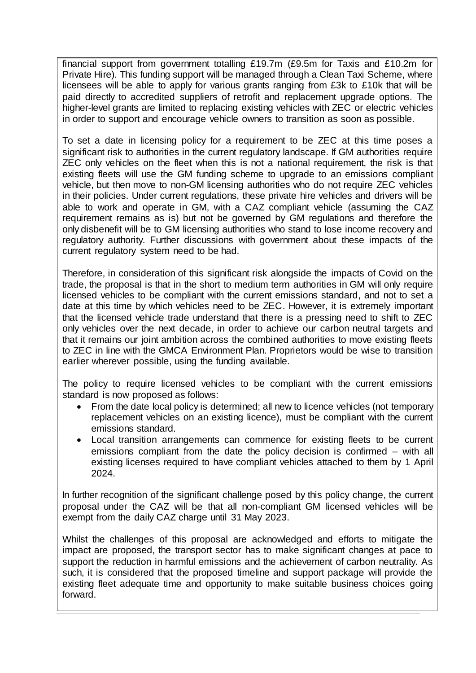financial support from government totalling £19.7m (£9.5m for Taxis and £10.2m for Private Hire). This funding support will be managed through a Clean Taxi Scheme, where licensees will be able to apply for various grants ranging from £3k to £10k that will be paid directly to accredited suppliers of retrofit and replacement upgrade options. The higher-level grants are limited to replacing existing vehicles with ZEC or electric vehicles in order to support and encourage vehicle owners to transition as soon as possible.

To set a date in licensing policy for a requirement to be ZEC at this time poses a significant risk to authorities in the current regulatory landscape. If GM authorities require ZEC only vehicles on the fleet when this is not a national requirement, the risk is that existing fleets will use the GM funding scheme to upgrade to an emissions compliant vehicle, but then move to non-GM licensing authorities who do not require ZEC vehicles in their policies. Under current regulations, these private hire vehicles and drivers will be able to work and operate in GM, with a CAZ compliant vehicle (assuming the CAZ requirement remains as is) but not be governed by GM regulations and therefore the only disbenefit will be to GM licensing authorities who stand to lose income recovery and regulatory authority. Further discussions with government about these impacts of the current regulatory system need to be had.

Therefore, in consideration of this significant risk alongside the impacts of Covid on the trade, the proposal is that in the short to medium term authorities in GM will only require licensed vehicles to be compliant with the current emissions standard, and not to set a date at this time by which vehicles need to be ZEC. However, it is extremely important that the licensed vehicle trade understand that there is a pressing need to shift to ZEC only vehicles over the next decade, in order to achieve our carbon neutral targets and that it remains our joint ambition across the combined authorities to move existing fleets to ZEC in line with the GMCA Environment Plan. Proprietors would be wise to transition earlier wherever possible, using the funding available.

The policy to require licensed vehicles to be compliant with the current emissions standard is now proposed as follows:

- From the date local policy is determined; all new to licence vehicles (not temporary replacement vehicles on an existing licence), must be compliant with the current emissions standard.
- Local transition arrangements can commence for existing fleets to be current emissions compliant from the date the policy decision is confirmed – with all existing licenses required to have compliant vehicles attached to them by 1 April 2024.

In further recognition of the significant challenge posed by this policy change, the current proposal under the CAZ will be that all non-compliant GM licensed vehicles will be exempt from the daily CAZ charge until 31 May 2023.

Whilst the challenges of this proposal are acknowledged and efforts to mitigate the impact are proposed, the transport sector has to make significant changes at pace to support the reduction in harmful emissions and the achievement of carbon neutrality. As such, it is considered that the proposed timeline and support package will provide the existing fleet adequate time and opportunity to make suitable business choices going forward.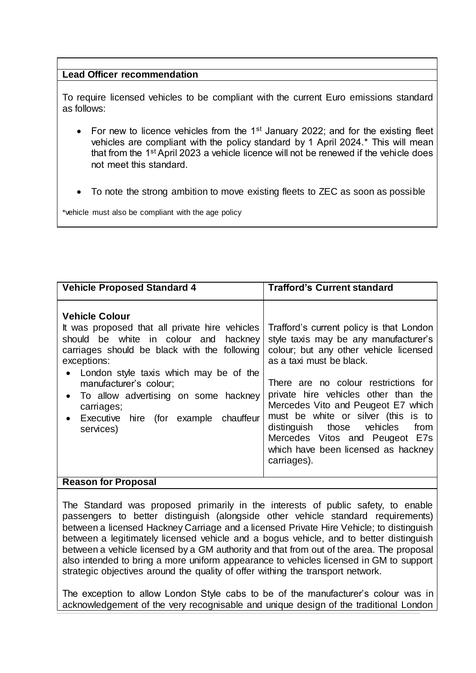# **Lead Officer recommendation**

To require licensed vehicles to be compliant with the current Euro emissions standard as follows:

- For new to licence vehicles from the  $1<sup>st</sup>$  January 2022; and for the existing fleet vehicles are compliant with the policy standard by 1 April 2024.\* This will mean that from the 1st April 2023 a vehicle licence will not be renewed if the vehicle does not meet this standard.
- To note the strong ambition to move existing fleets to ZEC as soon as possible

\*vehicle must also be compliant with the age policy

| <b>Vehicle Proposed Standard 4</b>                                                                                                                                                                                                                                                                                                                                     | <b>Trafford's Current standard</b>                                                                                                                                                                                                                                                                                                                                                                                                                 |
|------------------------------------------------------------------------------------------------------------------------------------------------------------------------------------------------------------------------------------------------------------------------------------------------------------------------------------------------------------------------|----------------------------------------------------------------------------------------------------------------------------------------------------------------------------------------------------------------------------------------------------------------------------------------------------------------------------------------------------------------------------------------------------------------------------------------------------|
| <b>Vehicle Colour</b><br>It was proposed that all private hire vehicles<br>should be white in colour and hackney<br>carriages should be black with the following<br>exceptions:<br>London style taxis which may be of the<br>manufacturer's colour;<br>• To allow advertising on some hackney<br>carriages;<br>• Executive hire (for example<br>chauffeur<br>services) | Trafford's current policy is that London<br>style taxis may be any manufacturer's<br>colour; but any other vehicle licensed<br>as a taxi must be black.<br>There are no colour restrictions for<br>private hire vehicles other than the<br>Mercedes Vito and Peugeot E7 which<br>must be white or silver (this is to<br>distinguish those vehicles<br>from<br>Mercedes Vitos and Peugeot E7s<br>which have been licensed as hackney<br>carriages). |
| <b>Passon for Proposal</b>                                                                                                                                                                                                                                                                                                                                             |                                                                                                                                                                                                                                                                                                                                                                                                                                                    |

# **Reason for Proposal**

The Standard was proposed primarily in the interests of public safety, to enable passengers to better distinguish (alongside other vehicle standard requirements) between a licensed Hackney Carriage and a licensed Private Hire Vehicle; to distinguish between a legitimately licensed vehicle and a bogus vehicle, and to better distinguish between a vehicle licensed by a GM authority and that from out of the area. The proposal also intended to bring a more uniform appearance to vehicles licensed in GM to support strategic objectives around the quality of offer withing the transport network.

The exception to allow London Style cabs to be of the manufacturer's colour was in acknowledgement of the very recognisable and unique design of the traditional London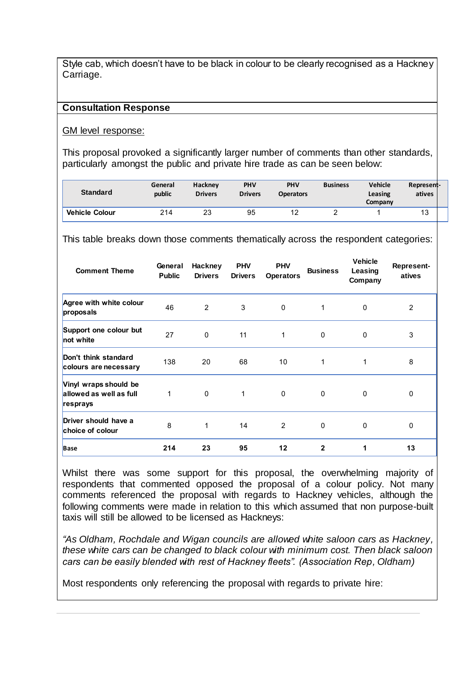Style cab, which doesn't have to be black in colour to be clearly recognised as a Hackney Carriage.

#### **Consultation Response**

#### GM level response:

This proposal provoked a significantly larger number of comments than other standards, particularly amongst the public and private hire trade as can be seen below:

| <b>Standard</b>       | General<br>public | <b>Hackney</b><br><b>Drivers</b> | <b>PHV</b><br><b>Drivers</b> | <b>PHV</b><br><b>Operators</b> | <b>Business</b> | <b>Vehicle</b><br>Leasing<br>Company | Represent-<br>atives |  |
|-----------------------|-------------------|----------------------------------|------------------------------|--------------------------------|-----------------|--------------------------------------|----------------------|--|
| <b>Vehicle Colour</b> | 214               | 23                               | 95                           | 12<br><u>.</u>                 |                 |                                      | 13                   |  |

This table breaks down those comments thematically across the respondent categories:

| <b>Comment Theme</b>                                         | General<br><b>Public</b> | Hackney<br><b>Drivers</b> | <b>PHV</b><br><b>Drivers</b> | <b>PHV</b><br><b>Operators</b> | <b>Business</b> | <b>Vehicle</b><br>Leasing<br>Company | Represent-<br>atives |
|--------------------------------------------------------------|--------------------------|---------------------------|------------------------------|--------------------------------|-----------------|--------------------------------------|----------------------|
| Agree with white colour<br>proposals                         | 46                       | 2                         | 3                            | $\mathbf 0$                    | 1               | 0                                    | 2                    |
| Support one colour but<br>not white                          | 27                       | $\mathbf{0}$              | 11                           | 1                              | 0               | 0                                    | 3                    |
| Don't think standard<br>colours are necessary                | 138                      | 20                        | 68                           | 10                             | 1               | 1                                    | 8                    |
| Vinyl wraps should be<br>allowed as well as full<br>resprays | 1                        | $\Omega$                  | 1                            | $\mathbf 0$                    | 0               | 0                                    | 0                    |
| Driver should have a<br>choice of colour                     | 8                        | 1                         | 14                           | 2                              | $\mathbf 0$     | 0                                    | 0                    |
| <b>Base</b>                                                  | 214                      | 23                        | 95                           | 12                             | $\mathbf{2}$    | 1                                    | 13                   |

Whilst there was some support for this proposal, the overwhelming majority of respondents that commented opposed the proposal of a colour policy. Not many comments referenced the proposal with regards to Hackney vehicles, although the following comments were made in relation to this which assumed that non purpose-built taxis will still be allowed to be licensed as Hackneys:

*"As Oldham, Rochdale and Wigan councils are allowed white saloon cars as Hackney, these white cars can be changed to black colour with minimum cost. Then black saloon cars can be easily blended with rest of Hackney fleets". (Association Rep, Oldham)*

Most respondents only referencing the proposal with regards to private hire: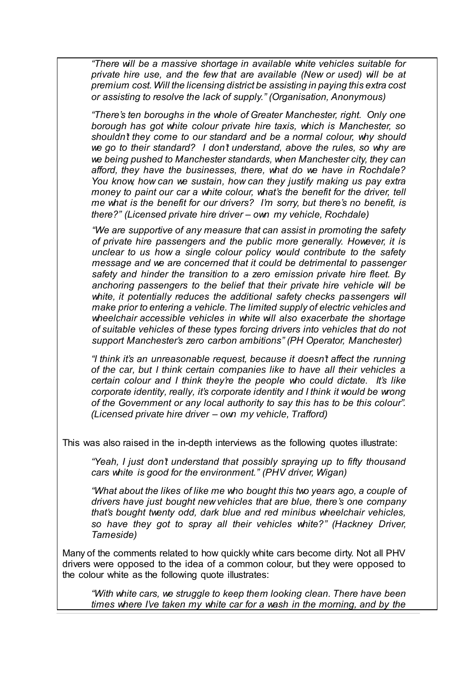*"There will be a massive shortage in available white vehicles suitable for private hire use, and the few that are available (New or used) will be at premium cost. Will the licensing district be assisting in paying this extra cost or assisting to resolve the lack of supply." (Organisation, Anonymous)* 

*"There's ten boroughs in the whole of Greater Manchester, right. Only one borough has got white colour private hire taxis, which is Manchester, so shouldn't they come to our standard and be a normal colour, why should we go to their standard? I don't understand, above the rules, so why are we being pushed to Manchester standards, when Manchester city, they can afford, they have the businesses, there, what do we have in Rochdale? You know, how can we sustain, how can they justify making us pay extra money to paint our car a white colour, what's the benefit for the driver, tell me what is the benefit for our drivers? I'm sorry, but there's no benefit, is there?" (Licensed private hire driver – own my vehicle, Rochdale)*

*"We are supportive of any measure that can assist in promoting the safety of private hire passengers and the public more generally. However, it is unclear to us how a single colour policy would contribute to the safety message and we are concerned that it could be detrimental to passenger safety and hinder the transition to a zero emission private hire fleet. By anchoring passengers to the belief that their private hire vehicle will be*  white, it potentially reduces the additional safety checks passengers will *make prior to entering a vehicle. The limited supply of electric vehicles and wheelchair accessible vehicles in white will also exacerbate the shortage of suitable vehicles of these types forcing drivers into vehicles that do not support Manchester's zero carbon ambitions" (PH Operator, Manchester)*

*"I think it's an unreasonable request, because it doesn't affect the running of the car, but I think certain companies like to have all their vehicles a certain colour and I think they're the people who could dictate. It's like corporate identity, really, it's corporate identity and I think it would be wrong of the Government or any local authority to say this has to be this colour". (Licensed private hire driver – own my vehicle, Trafford)*

This was also raised in the in-depth interviews as the following quotes illustrate:

*"Yeah, I just don't understand that possibly spraying up to fifty thousand cars white is good for the environment." (PHV driver, Wigan)*

*"What about the likes of like me who bought this two years ago, a couple of drivers have just bought new vehicles that are blue, there's one company that's bought twenty odd, dark blue and red minibus wheelchair vehicles, so have they got to spray all their vehicles white?" (Hackney Driver, Tameside)*

Many of the comments related to how quickly white cars become dirty. Not all PHV drivers were opposed to the idea of a common colour, but they were opposed to the colour white as the following quote illustrates:

*"With white cars, we struggle to keep them looking clean. There have been times where I've taken my white car for a wash in the morning, and by the*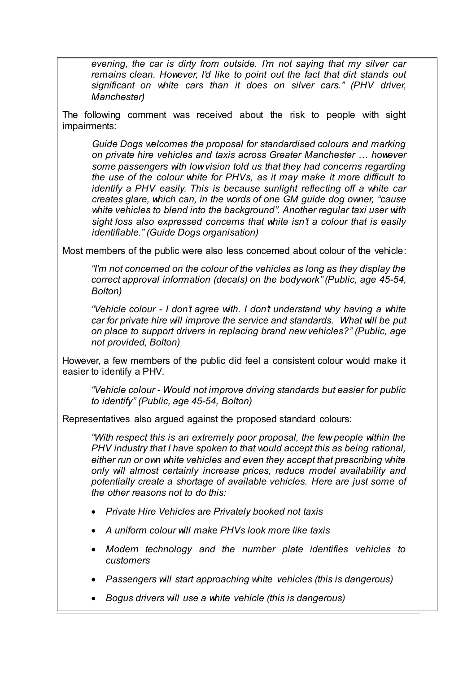*evening, the car is dirty from outside. I'm not saying that my silver car remains clean. However, I'd like to point out the fact that dirt stands out significant on white cars than it does on silver cars." (PHV driver, Manchester)*

The following comment was received about the risk to people with sight impairments:

*Guide Dogs welcomes the proposal for standardised colours and marking on private hire vehicles and taxis across Greater Manchester … however some passengers with low vision told us that they had concerns regarding the use of the colour white for PHVs, as it may make it more difficult to identify a PHV easily. This is because sunlight reflecting off a white car creates glare, which can, in the words of one GM guide dog owner, "cause white vehicles to blend into the background". Another regular taxi user with sight loss also expressed concerns that white isn't a colour that is easily identifiable." (Guide Dogs organisation)*

Most members of the public were also less concerned about colour of the vehicle:

*"I'm not concerned on the colour of the vehicles as long as they display the correct approval information (decals) on the bodywork" (Public, age 45-54, Bolton)*

*"Vehicle colour - I don't agree with. I don't understand why having a white car for private hire will improve the service and standards. What will be put on place to support drivers in replacing brand new vehicles?" (Public, age not provided, Bolton)*

However, a few members of the public did feel a consistent colour would make it easier to identify a PHV.

*"Vehicle colour - Would not improve driving standards but easier for public to identify" (Public, age 45-54, Bolton)*

Representatives also argued against the proposed standard colours:

*"With respect this is an extremely poor proposal, the few people within the PHV industry that I have spoken to that would accept this as being rational, either run or own white vehicles and even they accept that prescribing white only will almost certainly increase prices, reduce model availability and potentially create a shortage of available vehicles. Here are just some of the other reasons not to do this:*

- *Private Hire Vehicles are Privately booked not taxis*
- *A uniform colour will make PHVs look more like taxis*
- *Modern technology and the number plate identifies vehicles to customers*
- *Passengers will start approaching white vehicles (this is dangerous)*
- *Bogus drivers will use a white vehicle (this is dangerous)*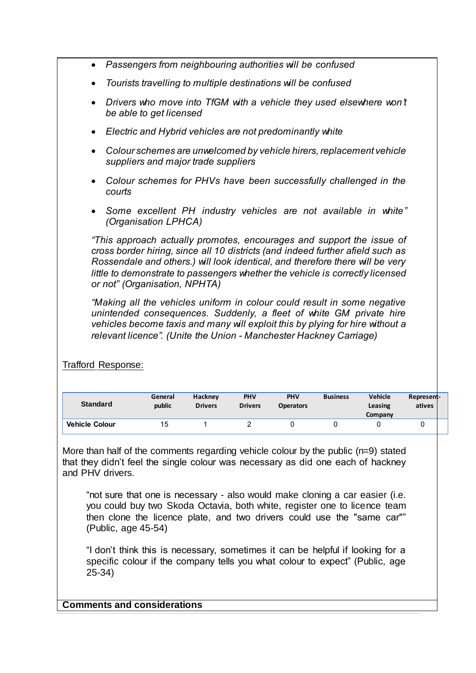- *Passengers from neighbouring authorities will be confused*
- *Tourists travelling to multiple destinations will be confused*
- *Drivers who move into TfGM with a vehicle they used elsewhere won't be able to get licensed*
- *Electric and Hybrid vehicles are not predominantly white*
- *Colour schemes are unwelcomed by vehicle hirers, replacement vehicle suppliers and major trade suppliers*
- *Colour schemes for PHVs have been successfully challenged in the courts*
- *Some excellent PH industry vehicles are not available in white" (Organisation LPHCA)*

*"This approach actually promotes, encourages and support the issue of cross border hiring, since all 10 districts (and indeed further afield such as Rossendale and others.) will look identical, and therefore there will be very little to demonstrate to passengers whether the vehicle is correctly licensed or not" (Organisation, NPHTA)*

*"Making all the vehicles uniform in colour could result in some negative unintended consequences. Suddenly, a fleet of white GM private hire vehicles become taxis and many will exploit this by plying for hire without a relevant licence". (Unite the Union - Manchester Hackney Carriage)*

Trafford Response:

| <b>Standard</b>       | General<br>public | <b>Hackney</b><br><b>Drivers</b> | <b>PHV</b><br><b>Drivers</b> | <b>PHV</b><br><b>Operators</b> | <b>Business</b> | <b>Vehicle</b><br>Leasing<br>Company | Represent-<br>atives |  |
|-----------------------|-------------------|----------------------------------|------------------------------|--------------------------------|-----------------|--------------------------------------|----------------------|--|
| <b>Vehicle Colour</b> | ∣5                |                                  |                              |                                |                 |                                      |                      |  |

More than half of the comments regarding vehicle colour by the public (n=9) stated that they didn't feel the single colour was necessary as did one each of hackney and PHV drivers.

"not sure that one is necessary - also would make cloning a car easier (i.e. you could buy two Skoda Octavia, both white, register one to licence team then clone the licence plate, and two drivers could use the "same car"" (Public, age 45-54)

"I don't think this is necessary, sometimes it can be helpful if looking for a specific colour if the company tells you what colour to expect" (Public, age 25-34)

**Comments and considerations**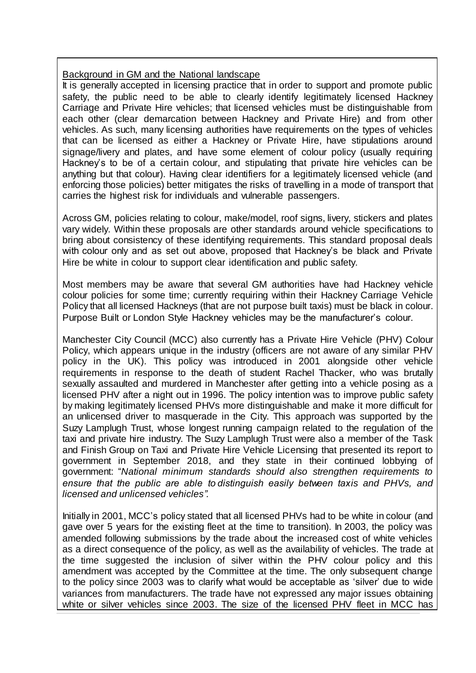# Background in GM and the National landscape

It is generally accepted in licensing practice that in order to support and promote public safety, the public need to be able to clearly identify legitimately licensed Hackney Carriage and Private Hire vehicles; that licensed vehicles must be distinguishable from each other (clear demarcation between Hackney and Private Hire) and from other vehicles. As such, many licensing authorities have requirements on the types of vehicles that can be licensed as either a Hackney or Private Hire, have stipulations around signage/livery and plates, and have some element of colour policy (usually requiring Hackney's to be of a certain colour, and stipulating that private hire vehicles can be anything but that colour). Having clear identifiers for a legitimately licensed vehicle (and enforcing those policies) better mitigates the risks of travelling in a mode of transport that carries the highest risk for individuals and vulnerable passengers.

Across GM, policies relating to colour, make/model, roof signs, livery, stickers and plates vary widely. Within these proposals are other standards around vehicle specifications to bring about consistency of these identifying requirements. This standard proposal deals with colour only and as set out above, proposed that Hackney's be black and Private Hire be white in colour to support clear identification and public safety.

Most members may be aware that several GM authorities have had Hackney vehicle colour policies for some time; currently requiring within their Hackney Carriage Vehicle Policy that all licensed Hackneys (that are not purpose built taxis) must be black in colour. Purpose Built or London Style Hackney vehicles may be the manufacturer's colour.

Manchester City Council (MCC) also currently has a Private Hire Vehicle (PHV) Colour Policy, which appears unique in the industry (officers are not aware of any similar PHV policy in the UK). This policy was introduced in 2001 alongside other vehicle requirements in response to the death of student Rachel Thacker, who was brutally sexually assaulted and murdered in Manchester after getting into a vehicle posing as a licensed PHV after a night out in 1996. The policy intention was to improve public safety by making legitimately licensed PHVs more distinguishable and make it more difficult for an unlicensed driver to masquerade in the City. This approach was supported by the Suzy Lamplugh Trust, whose longest running campaign related to the regulation of the taxi and private hire industry. The Suzy Lamplugh Trust were also a member of the Task and Finish Group on Taxi and Private Hire Vehicle Licensing that presented its report to government in September 2018, and they state in their continued lobbying of government: "*National minimum standards should also strengthen requirements to ensure that the public are able to distinguish easily between taxis and PHVs, and licensed and unlicensed vehicles".*

Initially in 2001, MCC's policy stated that all licensed PHVs had to be white in colour (and gave over 5 years for the existing fleet at the time to transition). In 2003, the policy was amended following submissions by the trade about the increased cost of white vehicles as a direct consequence of the policy, as well as the availability of vehicles. The trade at the time suggested the inclusion of silver within the PHV colour policy and this amendment was accepted by the Committee at the time. The only subsequent change to the policy since 2003 was to clarify what would be acceptable as 'silver' due to wide variances from manufacturers. The trade have not expressed any major issues obtaining white or silver vehicles since 2003. The size of the licensed PHV fleet in MCC has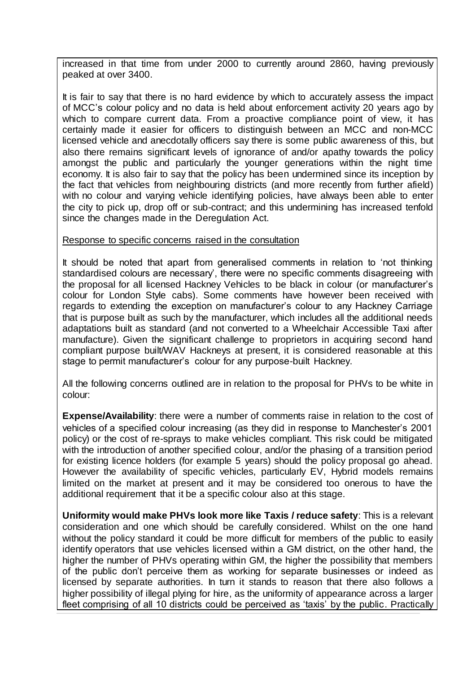increased in that time from under 2000 to currently around 2860, having previously peaked at over 3400.

It is fair to say that there is no hard evidence by which to accurately assess the impact of MCC's colour policy and no data is held about enforcement activity 20 years ago by which to compare current data. From a proactive compliance point of view, it has certainly made it easier for officers to distinguish between an MCC and non-MCC licensed vehicle and anecdotally officers say there is some public awareness of this, but also there remains significant levels of ignorance of and/or apathy towards the policy amongst the public and particularly the younger generations within the night time economy. It is also fair to say that the policy has been undermined since its inception by the fact that vehicles from neighbouring districts (and more recently from further afield) with no colour and varying vehicle identifying policies, have always been able to enter the city to pick up, drop off or sub-contract; and this undermining has increased tenfold since the changes made in the Deregulation Act.

#### Response to specific concerns raised in the consultation

It should be noted that apart from generalised comments in relation to 'not thinking standardised colours are necessary', there were no specific comments disagreeing with the proposal for all licensed Hackney Vehicles to be black in colour (or manufacturer's colour for London Style cabs). Some comments have however been received with regards to extending the exception on manufacturer's colour to any Hackney Carriage that is purpose built as such by the manufacturer, which includes all the additional needs adaptations built as standard (and not converted to a Wheelchair Accessible Taxi after manufacture). Given the significant challenge to proprietors in acquiring second hand compliant purpose built/WAV Hackneys at present, it is considered reasonable at this stage to permit manufacturer's colour for any purpose-built Hackney.

All the following concerns outlined are in relation to the proposal for PHVs to be white in colour:

**Expense/Availability**: there were a number of comments raise in relation to the cost of vehicles of a specified colour increasing (as they did in response to Manchester's 2001 policy) or the cost of re-sprays to make vehicles compliant. This risk could be mitigated with the introduction of another specified colour, and/or the phasing of a transition period for existing licence holders (for example 5 years) should the policy proposal go ahead. However the availability of specific vehicles, particularly EV, Hybrid models remains limited on the market at present and it may be considered too onerous to have the additional requirement that it be a specific colour also at this stage.

**Uniformity would make PHVs look more like Taxis / reduce safety**: This is a relevant consideration and one which should be carefully considered. Whilst on the one hand without the policy standard it could be more difficult for members of the public to easily identify operators that use vehicles licensed within a GM district, on the other hand, the higher the number of PHVs operating within GM, the higher the possibility that members of the public don't perceive them as working for separate businesses or indeed as licensed by separate authorities. In turn it stands to reason that there also follows a higher possibility of illegal plying for hire, as the uniformity of appearance across a larger fleet comprising of all 10 districts could be perceived as 'taxis' by the public. Practically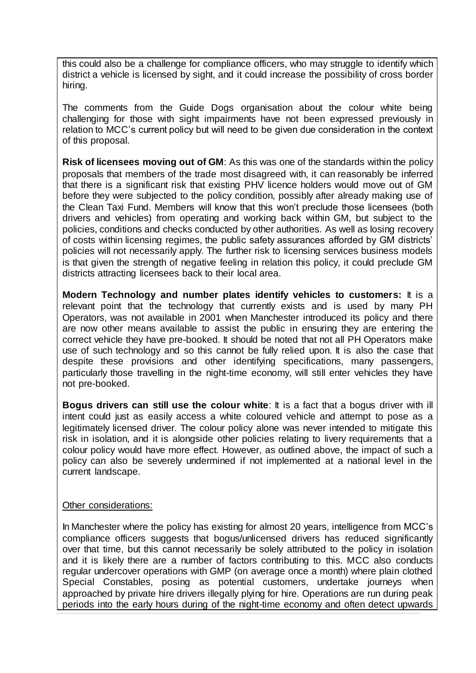this could also be a challenge for compliance officers, who may struggle to identify which district a vehicle is licensed by sight, and it could increase the possibility of cross border hiring.

The comments from the Guide Dogs organisation about the colour white being challenging for those with sight impairments have not been expressed previously in relation to MCC's current policy but will need to be given due consideration in the context of this proposal.

**Risk of licensees moving out of GM**: As this was one of the standards within the policy proposals that members of the trade most disagreed with, it can reasonably be inferred that there is a significant risk that existing PHV licence holders would move out of GM before they were subjected to the policy condition, possibly after already making use of the Clean Taxi Fund. Members will know that this won't preclude those licensees (both drivers and vehicles) from operating and working back within GM, but subject to the policies, conditions and checks conducted by other authorities. As well as losing recovery of costs within licensing regimes, the public safety assurances afforded by GM districts' policies will not necessarily apply. The further risk to licensing services business models is that given the strength of negative feeling in relation this policy, it could preclude GM districts attracting licensees back to their local area.

**Modern Technology and number plates identify vehicles to customers:** It is a relevant point that the technology that currently exists and is used by many PH Operators, was not available in 2001 when Manchester introduced its policy and there are now other means available to assist the public in ensuring they are entering the correct vehicle they have pre-booked. It should be noted that not all PH Operators make use of such technology and so this cannot be fully relied upon. It is also the case that despite these provisions and other identifying specifications, many passengers, particularly those travelling in the night-time economy, will still enter vehicles they have not pre-booked.

**Bogus drivers can still use the colour white**: It is a fact that a bogus driver with ill intent could just as easily access a white coloured vehicle and attempt to pose as a legitimately licensed driver. The colour policy alone was never intended to mitigate this risk in isolation, and it is alongside other policies relating to livery requirements that a colour policy would have more effect. However, as outlined above, the impact of such a policy can also be severely undermined if not implemented at a national level in the current landscape.

#### Other considerations:

In Manchester where the policy has existing for almost 20 years, intelligence from MCC's compliance officers suggests that bogus/unlicensed drivers has reduced significantly over that time, but this cannot necessarily be solely attributed to the policy in isolation and it is likely there are a number of factors contributing to this. MCC also conducts regular undercover operations with GMP (on average once a month) where plain clothed Special Constables, posing as potential customers, undertake journeys when approached by private hire drivers illegally plying for hire. Operations are run during peak periods into the early hours during of the night-time economy and often detect upwards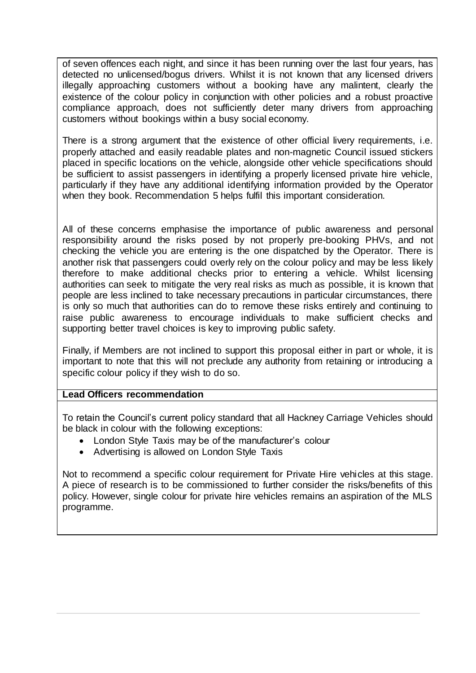of seven offences each night, and since it has been running over the last four years, has detected no unlicensed/bogus drivers. Whilst it is not known that any licensed drivers illegally approaching customers without a booking have any malintent, clearly the existence of the colour policy in conjunction with other policies and a robust proactive compliance approach, does not sufficiently deter many drivers from approaching customers without bookings within a busy social economy.

There is a strong argument that the existence of other official livery requirements, i.e. properly attached and easily readable plates and non-magnetic Council issued stickers placed in specific locations on the vehicle, alongside other vehicle specifications should be sufficient to assist passengers in identifying a properly licensed private hire vehicle, particularly if they have any additional identifying information provided by the Operator when they book. Recommendation 5 helps fulfil this important consideration.

All of these concerns emphasise the importance of public awareness and personal responsibility around the risks posed by not properly pre-booking PHVs, and not checking the vehicle you are entering is the one dispatched by the Operator. There is another risk that passengers could overly rely on the colour policy and may be less likely therefore to make additional checks prior to entering a vehicle. Whilst licensing authorities can seek to mitigate the very real risks as much as possible, it is known that people are less inclined to take necessary precautions in particular circumstances, there is only so much that authorities can do to remove these risks entirely and continuing to raise public awareness to encourage individuals to make sufficient checks and supporting better travel choices is key to improving public safety.

Finally, if Members are not inclined to support this proposal either in part or whole, it is important to note that this will not preclude any authority from retaining or introducing a specific colour policy if they wish to do so.

# **Lead Officers recommendation**

To retain the Council's current policy standard that all Hackney Carriage Vehicles should be black in colour with the following exceptions:

- London Style Taxis may be of the manufacturer's colour
- Advertising is allowed on London Style Taxis

Not to recommend a specific colour requirement for Private Hire vehicles at this stage. A piece of research is to be commissioned to further consider the risks/benefits of this policy. However, single colour for private hire vehicles remains an aspiration of the MLS programme.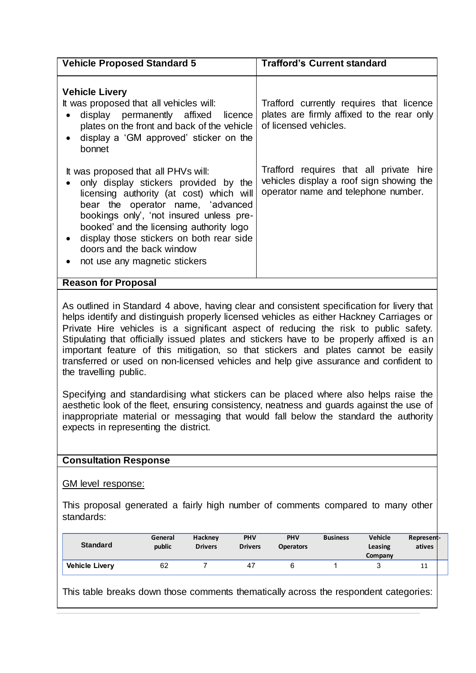| <b>Vehicle Proposed Standard 5</b>                                                                                                                                                                                                                                                                                                                             | <b>Trafford's Current standard</b>                                                                                         |
|----------------------------------------------------------------------------------------------------------------------------------------------------------------------------------------------------------------------------------------------------------------------------------------------------------------------------------------------------------------|----------------------------------------------------------------------------------------------------------------------------|
| <b>Vehicle Livery</b><br>It was proposed that all vehicles will:<br>display permanently affixed licence<br>plates on the front and back of the vehicle<br>display a 'GM approved' sticker on the<br>bonnet                                                                                                                                                     | Trafford currently requires that licence<br>plates are firmly affixed to the rear only<br>of licensed vehicles.            |
| It was proposed that all PHVs will:<br>only display stickers provided by the<br>licensing authority (at cost) which will<br>bear the operator name, 'advanced<br>bookings only', 'not insured unless pre-<br>booked and the licensing authority logo<br>display those stickers on both rear side<br>doors and the back window<br>not use any magnetic stickers | Trafford requires that all private hire<br>vehicles display a roof sign showing the<br>operator name and telephone number. |
| <b>Reason for Proposal</b>                                                                                                                                                                                                                                                                                                                                     |                                                                                                                            |

As outlined in Standard 4 above, having clear and consistent specification for livery that helps identify and distinguish properly licensed vehicles as either Hackney Carriages or Private Hire vehicles is a significant aspect of reducing the risk to public safety. Stipulating that officially issued plates and stickers have to be properly affixed is an important feature of this mitigation, so that stickers and plates cannot be easily transferred or used on non-licensed vehicles and help give assurance and confident to the travelling public.

Specifying and standardising what stickers can be placed where also helps raise the aesthetic look of the fleet, ensuring consistency, neatness and guards against the use of inappropriate material or messaging that would fall below the standard the authority expects in representing the district.

# **Consultation Response**

GM level response:

This proposal generated a fairly high number of comments compared to many other standards:

| <b>Standard</b>       | General<br>public | Hackney<br><b>Drivers</b> | PHV<br><b>Drivers</b> | <b>PHV</b><br><b>Operators</b> | <b>Business</b> | <b>Vehicle</b><br>Leasing<br>Company | Represent-<br>atives |  |
|-----------------------|-------------------|---------------------------|-----------------------|--------------------------------|-----------------|--------------------------------------|----------------------|--|
| <b>Vehicle Livery</b> | 62                |                           | 47                    |                                |                 |                                      | 11                   |  |

This table breaks down those comments thematically across the respondent categories: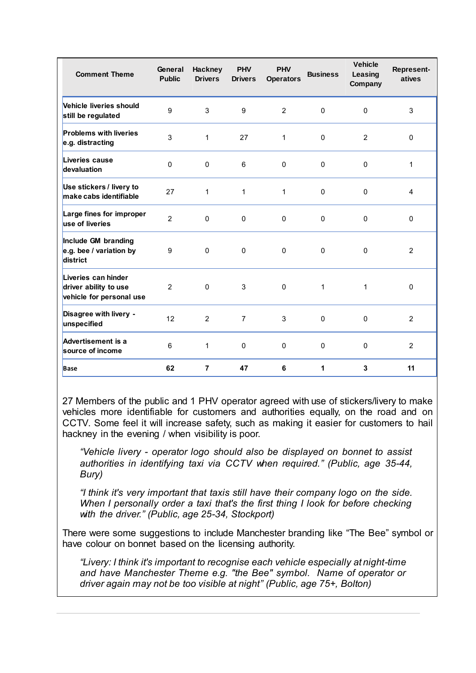| <b>Comment Theme</b>                                                     | General<br><b>Public</b> | <b>Hackney</b><br><b>Drivers</b> | <b>PHV</b><br><b>Drivers</b> | <b>PHV</b><br><b>Operators</b> | <b>Business</b> | <b>Vehicle</b><br>Leasing<br>Company | Represent-<br>atives |
|--------------------------------------------------------------------------|--------------------------|----------------------------------|------------------------------|--------------------------------|-----------------|--------------------------------------|----------------------|
| Vehicle liveries should<br>still be regulated                            | 9                        | 3                                | 9                            | $\overline{2}$                 | $\mathbf 0$     | 0                                    | 3                    |
| <b>Problems with liveries</b><br>e.g. distracting                        | 3                        | $\mathbf{1}$                     | 27                           | 1                              | $\mathbf 0$     | $\overline{2}$                       | $\pmb{0}$            |
| Liveries cause<br>devaluation                                            | $\mathbf{0}$             | $\pmb{0}$                        | 6                            | $\mathbf 0$                    | $\mathbf 0$     | $\Omega$                             | $\mathbf{1}$         |
| Use stickers / livery to<br>make cabs identifiable                       | 27                       | $\mathbf{1}$                     | 1                            | 1                              | $\Omega$        | $\Omega$                             | 4                    |
| Large fines for improper<br>use of liveries                              | $\overline{2}$           | $\mathsf 0$                      | $\mathbf 0$                  | $\mathbf 0$                    | $\mathbf 0$     | 0                                    | $\pmb{0}$            |
| Include GM branding<br>e.g. bee / variation by<br>district               | 9                        | $\mathbf{0}$                     | $\mathbf 0$                  | $\mathbf 0$                    | $\mathbf 0$     | $\mathbf 0$                          | $\overline{2}$       |
| Liveries can hinder<br>driver ability to use<br>vehicle for personal use | $\overline{2}$           | $\pmb{0}$                        | 3                            | $\mathbf 0$                    | 1               | 1                                    | $\pmb{0}$            |
| Disagree with livery -<br>unspecified                                    | 12                       | 2                                | $\overline{7}$               | 3                              | $\Omega$        | $\mathbf{0}$                         | 2                    |
| Advertisement is a<br>source of income                                   | 6                        | $\mathbf{1}$                     | $\mathbf 0$                  | $\mathbf 0$                    | $\mathbf 0$     | $\mathbf{0}$                         | 2                    |
| <b>Base</b>                                                              | 62                       | $\overline{7}$                   | 47                           | 6                              | 1               | 3                                    | 11                   |

27 Members of the public and 1 PHV operator agreed with use of stickers/livery to make vehicles more identifiable for customers and authorities equally, on the road and on CCTV. Some feel it will increase safety, such as making it easier for customers to hail hackney in the evening / when visibility is poor.

*"Vehicle livery - operator logo should also be displayed on bonnet to assist authorities in identifying taxi via CCTV when required." (Public, age 35-44, Bury)*

*"I think it's very important that taxis still have their company logo on the side. When I personally order a taxi that's the first thing I look for before checking with the driver." (Public, age 25-34, Stockport)*

There were some suggestions to include Manchester branding like "The Bee" symbol or have colour on bonnet based on the licensing authority.

*"Livery: I think it's important to recognise each vehicle especially at night-time and have Manchester Theme e.g. "the Bee" symbol. Name of operator or driver again may not be too visible at night" (Public, age 75+, Bolton)*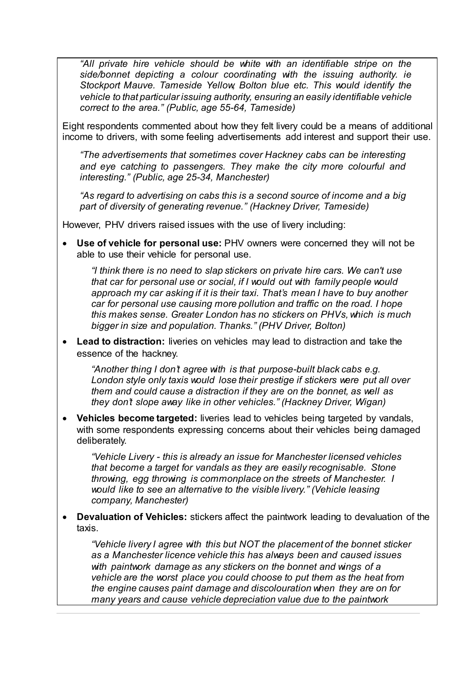*"All private hire vehicle should be white with an identifiable stripe on the side/bonnet depicting a colour coordinating with the issuing authority. ie Stockport Mauve. Tameside Yellow, Bolton blue etc. This would identify the vehicle to that particular issuing authority, ensuring an easily identifiable vehicle correct to the area." (Public, age 55-64, Tameside)*

Eight respondents commented about how they felt livery could be a means of additional income to drivers, with some feeling advertisements add interest and support their use.

*"The advertisements that sometimes cover Hackney cabs can be interesting and eye catching to passengers. They make the city more colourful and interesting." (Public, age 25-34, Manchester)*

*"As regard to advertising on cabs this is a second source of income and a big part of diversity of generating revenue." (Hackney Driver, Tameside)*

However, PHV drivers raised issues with the use of livery including:

 **Use of vehicle for personal use:** PHV owners were concerned they will not be able to use their vehicle for personal use.

*"I think there is no need to slap stickers on private hire cars. We can't use that car for personal use or social, if I would out with family people would approach my car asking if it is their taxi. That's mean I have to buy another car for personal use causing more pollution and traffic on the road. I hope this makes sense. Greater London has no stickers on PHVs, which is much bigger in size and population. Thanks." (PHV Driver, Bolton)*

 **Lead to distraction:** liveries on vehicles may lead to distraction and take the essence of the hackney.

*"Another thing I don't agree with is that purpose-built black cabs e.g. London style only taxis would lose their prestige if stickers were put all over them and could cause a distraction if they are on the bonnet, as well as they don't slope away like in other vehicles." (Hackney Driver, Wigan)*

 **Vehicles become targeted:** liveries lead to vehicles being targeted by vandals, with some respondents expressing concerns about their vehicles being damaged deliberately.

*"Vehicle Livery - this is already an issue for Manchester licensed vehicles that become a target for vandals as they are easily recognisable. Stone throwing, egg throwing is commonplace on the streets of Manchester. I would like to see an alternative to the visible livery." (Vehicle leasing company, Manchester)*

 **Devaluation of Vehicles:** stickers affect the paintwork leading to devaluation of the taxis.

*"Vehicle livery I agree with this but NOT the placement of the bonnet sticker as a Manchester licence vehicle this has always been and caused issues with paintwork damage as any stickers on the bonnet and wings of a vehicle are the worst place you could choose to put them as the heat from the engine causes paint damage and discolouration when they are on for many years and cause vehicle depreciation value due to the paintwork*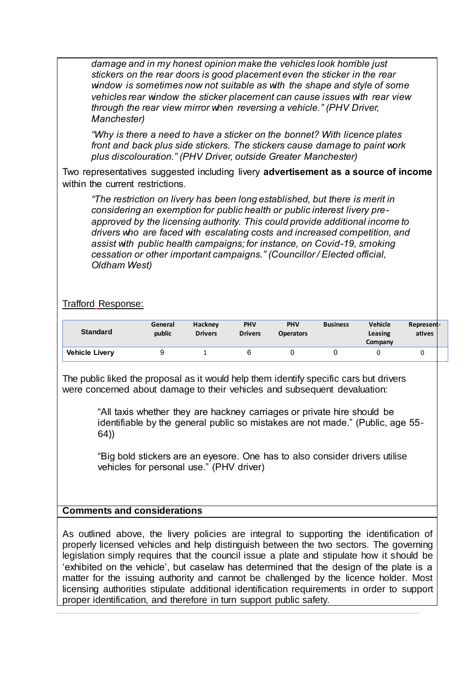*damage and in my honest opinion make the vehicles look horrible just stickers on the rear doors is good placement even the sticker in the rear window is sometimes now not suitable as with the shape and style of some vehicles rear window the sticker placement can cause issues with rear view through the rear view mirror when reversing a vehicle." (PHV Driver, Manchester)*

*"Why is there a need to have a sticker on the bonnet? With licence plates front and back plus side stickers. The stickers cause damage to paint work plus discolouration." (PHV Driver, outside Greater Manchester)*

Two representatives suggested including livery **advertisement as a source of income** within the current restrictions.

*"The restriction on livery has been long established, but there is merit in considering an exemption for public health or public interest livery preapproved by the licensing authority. This could provide additional income to drivers who are faced with escalating costs and increased competition, and assist with public health campaigns; for instance, on Covid-19, smoking cessation or other important campaigns." (Councillor / Elected official, Oldham West)*

# Trafford Response:

| <b>Standard</b>       | General<br>public | Hackney<br><b>Drivers</b> | <b>PHV</b><br><b>Drivers</b> | <b>PHV</b><br><b>Operators</b> | <b>Business</b> | <b>Vehicle</b><br>Leasing<br>Company | Represent-<br>atives |  |
|-----------------------|-------------------|---------------------------|------------------------------|--------------------------------|-----------------|--------------------------------------|----------------------|--|
| <b>Vehicle Livery</b> |                   |                           |                              |                                |                 |                                      |                      |  |

The public liked the proposal as it would help them identify specific cars but drivers were concerned about damage to their vehicles and subsequent devaluation:

> "All taxis whether they are hackney carriages or private hire should be identifiable by the general public so mistakes are not made." (Public, age 55- 64))

"Big bold stickers are an eyesore. One has to also consider drivers utilise vehicles for personal use." (PHV driver)

# **Comments and considerations**

As outlined above, the livery policies are integral to supporting the identification of properly licensed vehicles and help distinguish between the two sectors. The governing legislation simply requires that the council issue a plate and stipulate how it should be 'exhibited on the vehicle', but caselaw has determined that the design of the plate is a matter for the issuing authority and cannot be challenged by the licence holder. Most licensing authorities stipulate additional identification requirements in order to support proper identification, and therefore in turn support public safety.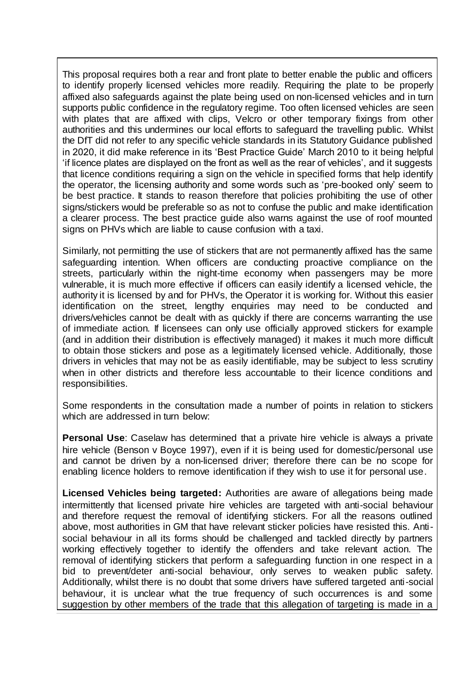This proposal requires both a rear and front plate to better enable the public and officers to identify properly licensed vehicles more readily. Requiring the plate to be properly affixed also safeguards against the plate being used on non-licensed vehicles and in turn supports public confidence in the regulatory regime. Too often licensed vehicles are seen with plates that are affixed with clips. Velcro or other temporary fixings from other authorities and this undermines our local efforts to safeguard the travelling public. Whilst the DfT did not refer to any specific vehicle standards in its Statutory Guidance published in 2020, it did make reference in its 'Best Practice Guide' March 2010 to it being helpful 'if licence plates are displayed on the front as well as the rear of vehicles', and it suggests that licence conditions requiring a sign on the vehicle in specified forms that help identify the operator, the licensing authority and some words such as 'pre-booked only' seem to be best practice. It stands to reason therefore that policies prohibiting the use of other signs/stickers would be preferable so as not to confuse the public and make identification a clearer process. The best practice guide also warns against the use of roof mounted signs on PHVs which are liable to cause confusion with a taxi.

Similarly, not permitting the use of stickers that are not permanently affixed has the same safeguarding intention. When officers are conducting proactive compliance on the streets, particularly within the night-time economy when passengers may be more vulnerable, it is much more effective if officers can easily identify a licensed vehicle, the authority it is licensed by and for PHVs, the Operator it is working for. Without this easier identification on the street, lengthy enquiries may need to be conducted and drivers/vehicles cannot be dealt with as quickly if there are concerns warranting the use of immediate action. If licensees can only use officially approved stickers for example (and in addition their distribution is effectively managed) it makes it much more difficult to obtain those stickers and pose as a legitimately licensed vehicle. Additionally, those drivers in vehicles that may not be as easily identifiable, may be subject to less scrutiny when in other districts and therefore less accountable to their licence conditions and responsibilities.

Some respondents in the consultation made a number of points in relation to stickers which are addressed in turn below:

**Personal Use**: Caselaw has determined that a private hire vehicle is always a private hire vehicle (Benson v Boyce 1997), even if it is being used for domestic/personal use and cannot be driven by a non-licensed driver; therefore there can be no scope for enabling licence holders to remove identification if they wish to use it for personal use.

**Licensed Vehicles being targeted:** Authorities are aware of allegations being made intermittently that licensed private hire vehicles are targeted with anti-social behaviour and therefore request the removal of identifying stickers. For all the reasons outlined above, most authorities in GM that have relevant sticker policies have resisted this. Antisocial behaviour in all its forms should be challenged and tackled directly by partners working effectively together to identify the offenders and take relevant action. The removal of identifying stickers that perform a safeguarding function in one respect in a bid to prevent/deter anti-social behaviour, only serves to weaken public safety. Additionally, whilst there is no doubt that some drivers have suffered targeted anti-social behaviour, it is unclear what the true frequency of such occurrences is and some suggestion by other members of the trade that this allegation of targeting is made in a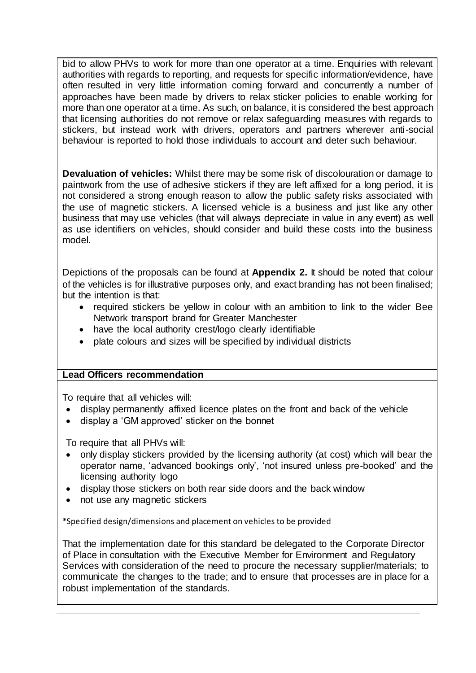bid to allow PHVs to work for more than one operator at a time. Enquiries with relevant authorities with regards to reporting, and requests for specific information/evidence, have often resulted in very little information coming forward and concurrently a number of approaches have been made by drivers to relax sticker policies to enable working for more than one operator at a time. As such, on balance, it is considered the best approach that licensing authorities do not remove or relax safeguarding measures with regards to stickers, but instead work with drivers, operators and partners wherever anti-social behaviour is reported to hold those individuals to account and deter such behaviour.

**Devaluation of vehicles:** Whilst there may be some risk of discolouration or damage to paintwork from the use of adhesive stickers if they are left affixed for a long period, it is not considered a strong enough reason to allow the public safety risks associated with the use of magnetic stickers. A licensed vehicle is a business and just like any other business that may use vehicles (that will always depreciate in value in any event) as well as use identifiers on vehicles, should consider and build these costs into the business model.

Depictions of the proposals can be found at **Appendix 2.** It should be noted that colour of the vehicles is for illustrative purposes only, and exact branding has not been finalised; but the intention is that:

- required stickers be yellow in colour with an ambition to link to the wider Bee Network transport brand for Greater Manchester
- have the local authority crest/logo clearly identifiable
- plate colours and sizes will be specified by individual districts

# **Lead Officers recommendation**

To require that all vehicles will:

- display permanently affixed licence plates on the front and back of the vehicle
- display a 'GM approved' sticker on the bonnet

To require that all PHVs will:

- only display stickers provided by the licensing authority (at cost) which will bear the operator name, 'advanced bookings only', 'not insured unless pre-booked' and the licensing authority logo
- display those stickers on both rear side doors and the back window
- not use any magnetic stickers

\*Specified design/dimensions and placement on vehicles to be provided

That the implementation date for this standard be delegated to the Corporate Director of Place in consultation with the Executive Member for Environment and Regulatory Services with consideration of the need to procure the necessary supplier/materials; to communicate the changes to the trade; and to ensure that processes are in place for a robust implementation of the standards.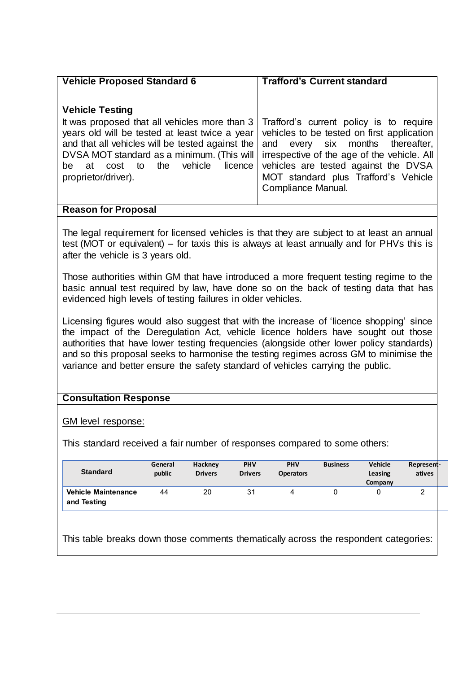| <b>Vehicle Proposed Standard 6</b>                                                                                                                                                                                                                                                                                                             | <b>Trafford's Current standard</b>                                                                                                                                                                                               |
|------------------------------------------------------------------------------------------------------------------------------------------------------------------------------------------------------------------------------------------------------------------------------------------------------------------------------------------------|----------------------------------------------------------------------------------------------------------------------------------------------------------------------------------------------------------------------------------|
| <b>Vehicle Testing</b><br>It was proposed that all vehicles more than 3<br>years old will be tested at least twice a year vehicles to be tested on first application<br>and that all vehicles will be tested against the<br>DVSA MOT standard as a minimum. (This will<br>vehicle licence<br>the<br>cost to<br>be<br>at<br>proprietor/driver). | Trafford's current policy is to require<br>and every six months thereafter,<br>irrespective of the age of the vehicle. All<br>vehicles are tested against the DVSA<br>MOT standard plus Trafford's Vehicle<br>Compliance Manual. |

# **Reason for Proposal**

The legal requirement for licensed vehicles is that they are subject to at least an annual test (MOT or equivalent) – for taxis this is always at least annually and for PHVs this is after the vehicle is 3 years old.

Those authorities within GM that have introduced a more frequent testing regime to the basic annual test required by law, have done so on the back of testing data that has evidenced high levels of testing failures in older vehicles.

Licensing figures would also suggest that with the increase of 'licence shopping' since the impact of the Deregulation Act, vehicle licence holders have sought out those authorities that have lower testing frequencies (alongside other lower policy standards) and so this proposal seeks to harmonise the testing regimes across GM to minimise the variance and better ensure the safety standard of vehicles carrying the public.

# **Consultation Response**

GM level response:

This standard received a fair number of responses compared to some others:

| <b>Standard</b>                           | General<br>public | Hackney<br><b>Drivers</b> | PHV<br><b>Drivers</b> | <b>PHV</b><br><b>Operators</b> | <b>Business</b> | <b>Vehicle</b><br>Leasing<br>Company | Represent-<br>atives |
|-------------------------------------------|-------------------|---------------------------|-----------------------|--------------------------------|-----------------|--------------------------------------|----------------------|
| <b>Vehicle Maintenance</b><br>and Testing | 44                | 20                        | 31                    |                                |                 |                                      | _                    |

This table breaks down those comments thematically across the respondent categories: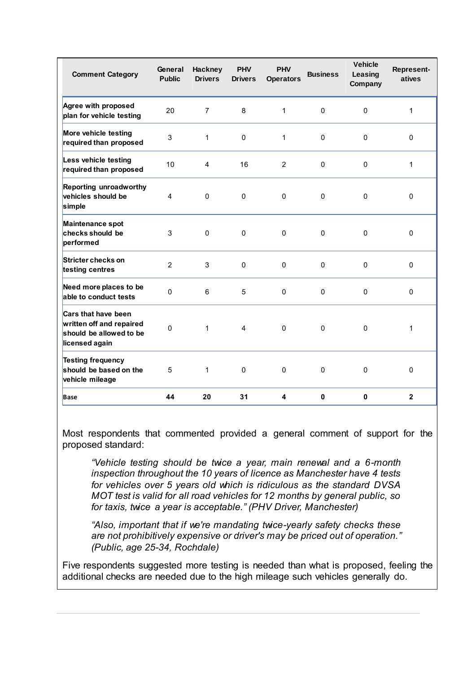| <b>Comment Category</b>                                                                      | General<br><b>Public</b> | <b>Hackney</b><br><b>Drivers</b> | <b>PHV</b><br><b>Drivers</b> | <b>PHV</b><br><b>Operators</b> | <b>Business</b> | <b>Vehicle</b><br>Leasing<br>Company | Represent-<br>atives |
|----------------------------------------------------------------------------------------------|--------------------------|----------------------------------|------------------------------|--------------------------------|-----------------|--------------------------------------|----------------------|
| Agree with proposed<br>plan for vehicle testing                                              | 20                       | $\overline{7}$                   | 8                            | 1                              | $\pmb{0}$       | $\mathbf 0$                          | $\mathbf{1}$         |
| More vehicle testing<br>required than proposed                                               | 3                        | $\mathbf{1}$                     | $\Omega$                     | 1                              | 0               | $\Omega$                             | $\mathbf{0}$         |
| Less vehicle testing<br>required than proposed                                               | 10                       | $\overline{4}$                   | 16                           | $\overline{2}$                 | $\Omega$        | $\Omega$                             | 1                    |
| Reporting unroadworthy<br>vehicles should be<br>simple                                       | 4                        | $\mathbf{0}$                     | $\mathbf 0$                  | $\mathbf 0$                    | 0               | 0                                    | $\mathbf{0}$         |
| Maintenance spot<br>checks should be<br>performed                                            | 3                        | $\mathbf 0$                      | $\mathbf 0$                  | 0                              | 0               | 0                                    | $\mathbf{0}$         |
| Stricter checks on<br>testing centres                                                        | $\overline{2}$           | 3                                | $\Omega$                     | $\Omega$                       | 0               | $\Omega$                             | $\Omega$             |
| Need more places to be<br>able to conduct tests                                              | 0                        | 6                                | 5                            | $\mathbf 0$                    | 0               | $\mathbf 0$                          | $\mathbf{0}$         |
| Cars that have been<br>written off and repaired<br>should be allowed to be<br>licensed again | 0                        | $\mathbf{1}$                     | 4                            | $\mathbf{0}$                   | $\mathbf 0$     | $\mathbf 0$                          | 1                    |
| <b>Testing frequency</b><br>should be based on the<br>vehicle mileage                        | 5                        | $\mathbf{1}$                     | $\Omega$                     | $\mathbf{0}$                   | $\mathbf{0}$    | $\mathbf 0$                          | $\mathbf{0}$         |
| <b>Base</b>                                                                                  | 44                       | 20                               | 31                           | 4                              | $\mathbf{0}$    | $\mathbf{0}$                         | $\mathbf{2}$         |

Most respondents that commented provided a general comment of support for the proposed standard:

*"Vehicle testing should be twice a year, main renewal and a 6-month inspection throughout the 10 years of licence as Manchester have 4 tests for vehicles over 5 years old which is ridiculous as the standard DVSA MOT test is valid for all road vehicles for 12 months by general public, so for taxis, twice a year is acceptable." (PHV Driver, Manchester)*

*"Also, important that if we're mandating twice-yearly safety checks these are not prohibitively expensive or driver's may be priced out of operation." (Public, age 25-34, Rochdale)*

Five respondents suggested more testing is needed than what is proposed, feeling the additional checks are needed due to the high mileage such vehicles generally do.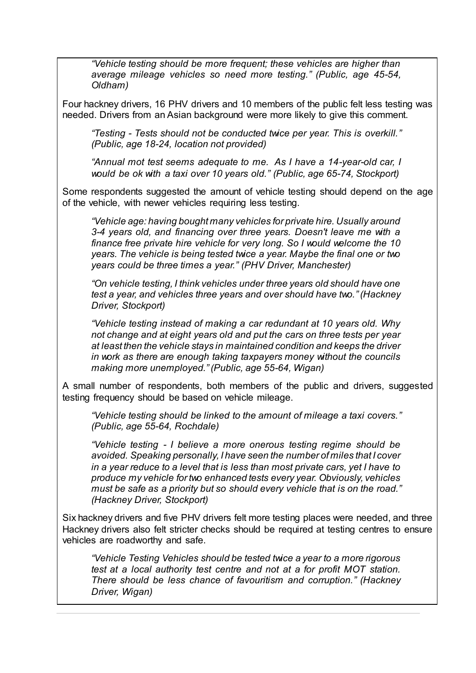*"Vehicle testing should be more frequent; these vehicles are higher than average mileage vehicles so need more testing." (Public, age 45-54, Oldham)*

Four hackney drivers, 16 PHV drivers and 10 members of the public felt less testing was needed. Drivers from an Asian background were more likely to give this comment.

*"Testing - Tests should not be conducted twice per year. This is overkill." (Public, age 18-24, location not provided)*

*"Annual mot test seems adequate to me. As I have a 14-year-old car, I would be ok with a taxi over 10 years old." (Public, age 65-74, Stockport)*

Some respondents suggested the amount of vehicle testing should depend on the age of the vehicle, with newer vehicles requiring less testing.

*"Vehicle age: having bought many vehicles for private hire. Usually around 3-4 years old, and financing over three years. Doesn't leave me with a finance free private hire vehicle for very long. So I would welcome the 10 years. The vehicle is being tested twice a year. Maybe the final one or two years could be three times a year." (PHV Driver, Manchester)*

*"On vehicle testing, I think vehicles under three years old should have one test a year, and vehicles three years and over should have two." (Hackney Driver, Stockport)*

*"Vehicle testing instead of making a car redundant at 10 years old. Why not change and at eight years old and put the cars on three tests per year at least then the vehicle stays in maintained condition and keeps the driver in work as there are enough taking taxpayers money without the councils making more unemployed." (Public, age 55-64, Wigan)*

A small number of respondents, both members of the public and drivers, suggested testing frequency should be based on vehicle mileage.

*"Vehicle testing should be linked to the amount of mileage a taxi covers." (Public, age 55-64, Rochdale)*

*"Vehicle testing - I believe a more onerous testing regime should be avoided. Speaking personally, I have seen the number of miles that I cover in a year reduce to a level that is less than most private cars, yet I have to produce my vehicle for two enhanced tests every year. Obviously, vehicles must be safe as a priority but so should every vehicle that is on the road." (Hackney Driver, Stockport)*

Six hackney drivers and five PHV drivers felt more testing places were needed, and three Hackney drivers also felt stricter checks should be required at testing centres to ensure vehicles are roadworthy and safe.

*"Vehicle Testing Vehicles should be tested twice a year to a more rigorous test at a local authority test centre and not at a for profit MOT station. There should be less chance of favouritism and corruption." (Hackney Driver, Wigan)*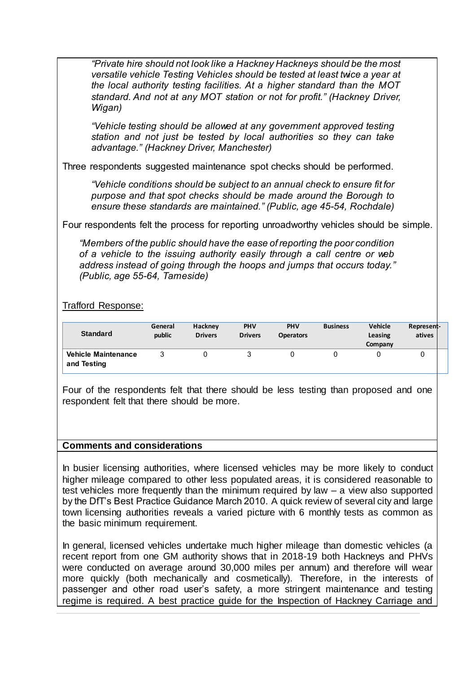*"Private hire should not look like a Hackney Hackneys should be the most versatile vehicle Testing Vehicles should be tested at least twice a year at the local authority testing facilities. At a higher standard than the MOT standard. And not at any MOT station or not for profit." (Hackney Driver, Wigan)*

*"Vehicle testing should be allowed at any government approved testing station and not just be tested by local authorities so they can take advantage." (Hackney Driver, Manchester)*

Three respondents suggested maintenance spot checks should be performed.

*"Vehicle conditions should be subject to an annual check to ensure fit for purpose and that spot checks should be made around the Borough to ensure these standards are maintained." (Public, age 45-54, Rochdale)*

Four respondents felt the process for reporting unroadworthy vehicles should be simple.

*"Members of the public should have the ease of reporting the poor condition of a vehicle to the issuing authority easily through a call centre or web address instead of going through the hoops and jumps that occurs today." (Public, age 55-64, Tameside)*

Trafford Response:

| <b>Standard</b>                           | General<br>public | Hackney<br><b>Drivers</b> | <b>PHV</b><br><b>Drivers</b> | <b>PHV</b><br><b>Operators</b> | <b>Business</b> | <b>Vehicle</b><br>Leasing<br>Company | Represent-<br>atives |
|-------------------------------------------|-------------------|---------------------------|------------------------------|--------------------------------|-----------------|--------------------------------------|----------------------|
| <b>Vehicle Maintenance</b><br>and Testing |                   |                           |                              |                                |                 |                                      |                      |

Four of the respondents felt that there should be less testing than proposed and one respondent felt that there should be more.

# **Comments and considerations**

In busier licensing authorities, where licensed vehicles may be more likely to conduct higher mileage compared to other less populated areas, it is considered reasonable to test vehicles more frequently than the minimum required by law – a view also supported by the DfT's Best Practice Guidance March 2010. A quick review of several city and large town licensing authorities reveals a varied picture with 6 monthly tests as common as the basic minimum requirement.

In general, licensed vehicles undertake much higher mileage than domestic vehicles (a recent report from one GM authority shows that in 2018-19 both Hackneys and PHVs were conducted on average around 30,000 miles per annum) and therefore will wear more quickly (both mechanically and cosmetically). Therefore, in the interests of passenger and other road user's safety, a more stringent maintenance and testing regime is required. A best practice guide for the Inspection of Hackney Carriage and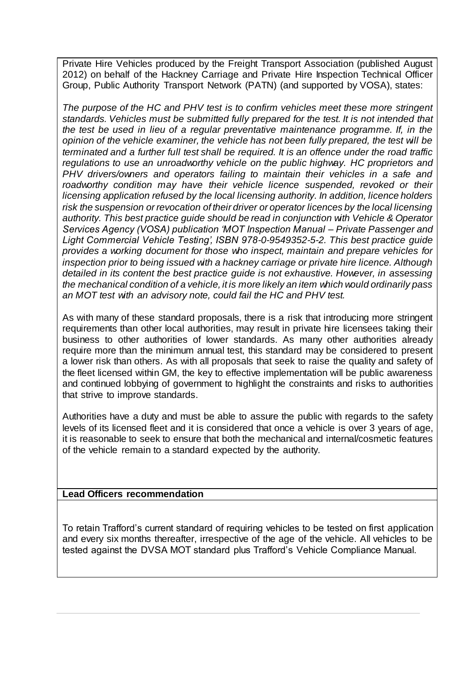Private Hire Vehicles produced by the Freight Transport Association (published August 2012) on behalf of the Hackney Carriage and Private Hire Inspection Technical Officer Group, Public Authority Transport Network (PATN) (and supported by VOSA), states:

*The purpose of the HC and PHV test is to confirm vehicles meet these more stringent standards. Vehicles must be submitted fully prepared for the test. It is not intended that the test be used in lieu of a regular preventative maintenance programme. If, in the opinion of the vehicle examiner, the vehicle has not been fully prepared, the test will be terminated and a further full test shall be required. It is an offence under the road traffic regulations to use an unroadworthy vehicle on the public highway. HC proprietors and PHV drivers/owners and operators failing to maintain their vehicles in a safe and*  roadworthy condition may have their vehicle licence suspended, revoked or their *licensing application refused by the local licensing authority. In addition, licence holders risk the suspension or revocation of their driver or operator licences by the local licensing authority. This best practice guide should be read in conjunction with Vehicle & Operator Services Agency (VOSA) publication 'MOT Inspection Manual – Private Passenger and Light Commercial Vehicle Testing', ISBN 978-0-9549352-5-2. This best practice guide provides a working document for those who inspect, maintain and prepare vehicles for inspection prior to being issued with a hackney carriage or private hire licence. Although detailed in its content the best practice guide is not exhaustive. However, in assessing the mechanical condition of a vehicle, it is more likely an item which would ordinarily pass an MOT test with an advisory note, could fail the HC and PHV test.*

As with many of these standard proposals, there is a risk that introducing more stringent requirements than other local authorities, may result in private hire licensees taking their business to other authorities of lower standards. As many other authorities already require more than the minimum annual test, this standard may be considered to present a lower risk than others. As with all proposals that seek to raise the quality and safety of the fleet licensed within GM, the key to effective implementation will be public awareness and continued lobbying of government to highlight the constraints and risks to authorities that strive to improve standards.

Authorities have a duty and must be able to assure the public with regards to the safety levels of its licensed fleet and it is considered that once a vehicle is over 3 years of age, it is reasonable to seek to ensure that both the mechanical and internal/cosmetic features of the vehicle remain to a standard expected by the authority.

# **Lead Officers recommendation**

To retain Trafford's current standard of requiring vehicles to be tested on first application and every six months thereafter, irrespective of the age of the vehicle. All vehicles to be tested against the DVSA MOT standard plus Trafford's Vehicle Compliance Manual.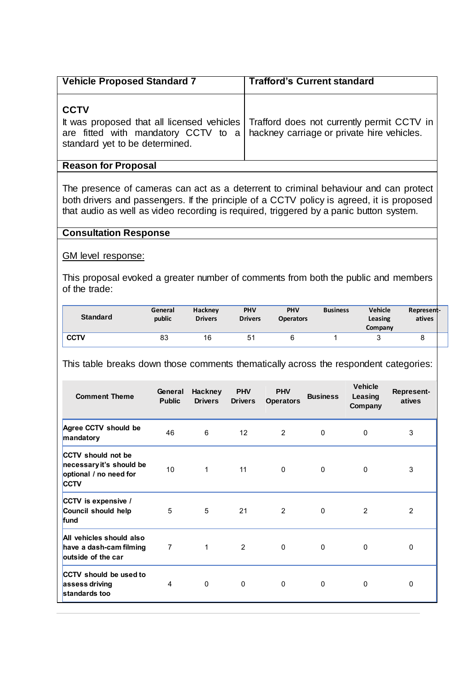| <b>Vehicle Proposed Standard 7</b>                                                                                                     | <b>Trafford's Current standard</b>                                                      |
|----------------------------------------------------------------------------------------------------------------------------------------|-----------------------------------------------------------------------------------------|
| <b>CCTV</b><br>are fitted with mandatory CCTV to $a \mid$ hackney carriage or private hire vehicles.<br>standard yet to be determined. | It was proposed that all licensed vehicles   Trafford does not currently permit CCTV in |
| <b>Reason for Proposal</b>                                                                                                             |                                                                                         |

The presence of cameras can act as a deterrent to criminal behaviour and can protect both drivers and passengers. If the principle of a CCTV policy is agreed, it is proposed that audio as well as video recording is required, triggered by a panic button system.

#### **Consultation Response**

GM level response:

This proposal evoked a greater number of comments from both the public and members of the trade:

| <b>Standard</b> | General<br>public | <b>Hackney</b><br><b>Drivers</b> | <b>PHV</b><br><b>Drivers</b> | <b>PHV</b><br><b>Operators</b> | <b>Business</b> | <b>Vehicle</b><br>Leasing<br>Company | Represent-<br>atives |  |
|-----------------|-------------------|----------------------------------|------------------------------|--------------------------------|-----------------|--------------------------------------|----------------------|--|
| <b>CCTV</b>     | 83                | 16                               | 5 <sup>′</sup>               |                                |                 |                                      | u                    |  |

This table breaks down those comments thematically across the respondent categories:

| <b>Comment Theme</b>                                                                           | General<br><b>Public</b> | <b>Hackney</b><br><b>Drivers</b> | <b>PHV</b><br><b>Drivers</b> | <b>PHV</b><br><b>Operators</b> | <b>Business</b> | <b>Vehicle</b><br>Leasing<br>Company | <b>Represent-</b><br>atives |
|------------------------------------------------------------------------------------------------|--------------------------|----------------------------------|------------------------------|--------------------------------|-----------------|--------------------------------------|-----------------------------|
| Agree CCTV should be<br>mandatory                                                              | 46                       | 6                                | $12 \overline{ }$            | 2                              | 0               | 0                                    | 3                           |
| <b>CCTV</b> should not be<br>necessary it's should be<br>optional / no need for<br><b>CCTV</b> | 10                       | $\mathbf 1$                      | 11                           | 0                              | 0               | 0                                    | 3                           |
| CCTV is expensive /<br>Council should help<br>fund                                             | 5                        | 5                                | 21                           | 2                              | $\mathbf 0$     | $\overline{2}$                       | $\overline{2}$              |
| All vehicles should also<br>have a dash-cam filming<br>outside of the car                      | 7                        | 1                                | 2                            | $\mathbf 0$                    | $\mathbf 0$     | $\mathbf 0$                          | $\mathbf 0$                 |
| CCTV should be used to<br>assess driving<br>standards too                                      | 4                        | $\mathbf{0}$                     | 0                            | 0                              | $\mathbf{0}$    | 0                                    | 0                           |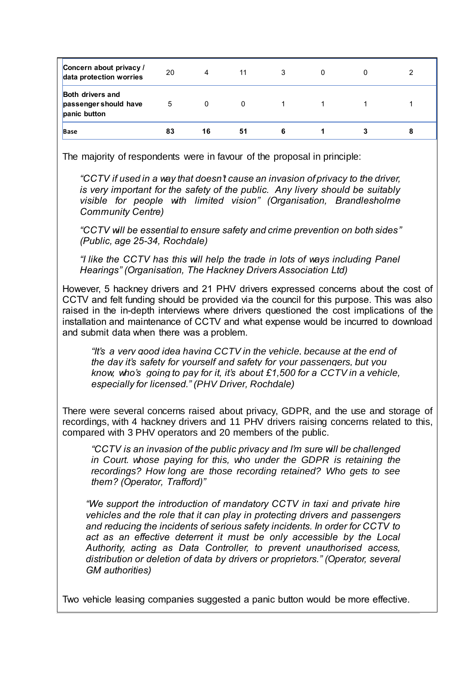| Concern about privacy /<br>data protection worries               | 20 | 4  | 11 | 3 | 0 | າ |
|------------------------------------------------------------------|----|----|----|---|---|---|
| <b>Both drivers and</b><br>passenger should have<br>panic button | 5  | 0  | 0  |   |   |   |
| <b>Base</b>                                                      | 83 | 16 | 51 |   |   | 8 |

The majority of respondents were in favour of the proposal in principle:

*"CCTV if used in a way that doesn't cause an invasion of privacy to the driver, is very important for the safety of the public. Any livery should be suitably visible for people with limited vision" (Organisation, Brandlesholme Community Centre)*

*"CCTV will be essential to ensure safety and crime prevention on both sides" (Public, age 25-34, Rochdale)*

*"I like the CCTV has this will help the trade in lots of ways including Panel Hearings" (Organisation, The Hackney Drivers Association Ltd)*

However, 5 hackney drivers and 21 PHV drivers expressed concerns about the cost of CCTV and felt funding should be provided via the council for this purpose. This was also raised in the in-depth interviews where drivers questioned the cost implications of the installation and maintenance of CCTV and what expense would be incurred to download and submit data when there was a problem.

*"It's a very good idea having CCTV in the vehicle, because at the end of the day it's safety for yourself and safety for your passengers, but you know, who's going to pay for it, it's about £1,500 for a CCTV in a vehicle, especially for licensed." (PHV Driver, Rochdale)*

There were several concerns raised about privacy, GDPR, and the use and storage of recordings, with 4 hackney drivers and 11 PHV drivers raising concerns related to this, compared with 3 PHV operators and 20 members of the public.

*"CCTV is an invasion of the public privacy and I'm sure will be challenged in Court. whose paying for this, who under the GDPR is retaining the recordings? How long are those recording retained? Who gets to see them? (Operator, Trafford)"*

*"We support the introduction of mandatory CCTV in taxi and private hire vehicles and the role that it can play in protecting drivers and passengers and reducing the incidents of serious safety incidents. In order for CCTV to act as an effective deterrent it must be only accessible by the Local Authority, acting as Data Controller, to prevent unauthorised access, distribution or deletion of data by drivers or proprietors." (Operator, several GM authorities)*

Two vehicle leasing companies suggested a panic button would be more effective.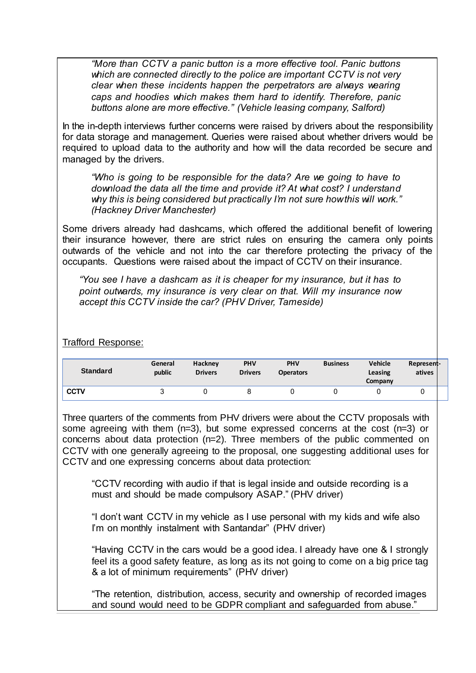*"More than CCTV a panic button is a more effective tool. Panic buttons which are connected directly to the police are important CCTV is not very clear when these incidents happen the perpetrators are always wearing caps and hoodies which makes them hard to identify. Therefore, panic buttons alone are more effective." (Vehicle leasing company, Salford)* 

In the in-depth interviews further concerns were raised by drivers about the responsibility for data storage and management. Queries were raised about whether drivers would be required to upload data to the authority and how will the data recorded be secure and managed by the drivers.

*"Who is going to be responsible for the data? Are we going to have to download the data all the time and provide it? At what cost? I understand why this is being considered but practically I'm not sure how this will work." (Hackney Driver Manchester)*

Some drivers already had dashcams, which offered the additional benefit of lowering their insurance however, there are strict rules on ensuring the camera only points outwards of the vehicle and not into the car therefore protecting the privacy of the occupants. Questions were raised about the impact of CCTV on their insurance.

*"You see I have a dashcam as it is cheaper for my insurance, but it has to point outwards, my insurance is very clear on that. Will my insurance now accept this CCTV inside the car? (PHV Driver, Tameside)*

Trafford Response:

| <b>Standard</b> | General<br>public | Hackney<br><b>Drivers</b> | <b>PHV</b><br><b>Drivers</b> | <b>PHV</b><br><b>Operators</b> | <b>Business</b> | <b>Vehicle</b><br>Leasing<br>Company | Represent-<br>atives |  |
|-----------------|-------------------|---------------------------|------------------------------|--------------------------------|-----------------|--------------------------------------|----------------------|--|
| <b>CCTV</b>     |                   |                           |                              |                                |                 |                                      |                      |  |

Three quarters of the comments from PHV drivers were about the CCTV proposals with some agreeing with them (n=3), but some expressed concerns at the cost (n=3) or concerns about data protection (n=2). Three members of the public commented on CCTV with one generally agreeing to the proposal, one suggesting additional uses for CCTV and one expressing concerns about data protection:

"CCTV recording with audio if that is legal inside and outside recording is a must and should be made compulsory ASAP." (PHV driver)

"I don't want CCTV in my vehicle as I use personal with my kids and wife also I'm on monthly instalment with Santandar" (PHV driver)

"Having CCTV in the cars would be a good idea. I already have one & I strongly feel its a good safety feature, as long as its not going to come on a big price tag & a lot of minimum requirements" (PHV driver)

"The retention, distribution, access, security and ownership of recorded images and sound would need to be GDPR compliant and safeguarded from abuse."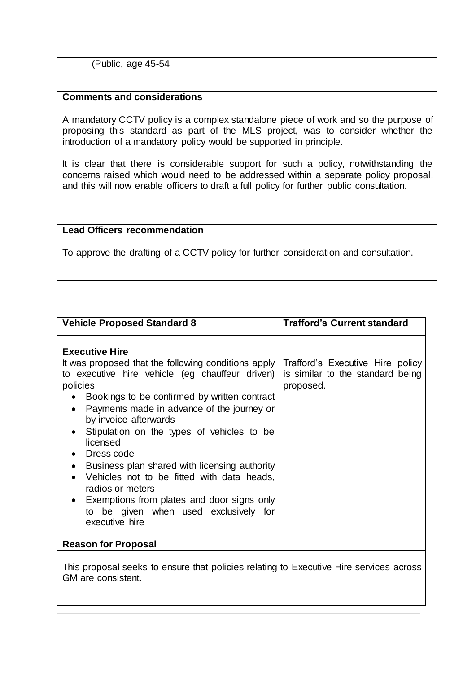(Public, age 45-54

# **Comments and considerations**

A mandatory CCTV policy is a complex standalone piece of work and so the purpose of proposing this standard as part of the MLS project, was to consider whether the introduction of a mandatory policy would be supported in principle.

It is clear that there is considerable support for such a policy, notwithstanding the concerns raised which would need to be addressed within a separate policy proposal, and this will now enable officers to draft a full policy for further public consultation.

# **Lead Officers recommendation**

To approve the drafting of a CCTV policy for further consideration and consultation.

| <b>Vehicle Proposed Standard 8</b>                                                                                                                                                                                                                                                                                                                                                                                                                                                                                                                                       | <b>Trafford's Current standard</b>                                                |
|--------------------------------------------------------------------------------------------------------------------------------------------------------------------------------------------------------------------------------------------------------------------------------------------------------------------------------------------------------------------------------------------------------------------------------------------------------------------------------------------------------------------------------------------------------------------------|-----------------------------------------------------------------------------------|
| <b>Executive Hire</b><br>It was proposed that the following conditions apply<br>to executive hire vehicle (eg chauffeur driven)<br>policies<br>Bookings to be confirmed by written contract<br>Payments made in advance of the journey or<br>by invoice afterwards<br>Stipulation on the types of vehicles to be<br>licensed<br>Dress code<br>Business plan shared with licensing authority<br>Vehicles not to be fitted with data heads,<br>radios or meters<br>• Exemptions from plates and door signs only<br>to be given when used exclusively for<br>executive hire | Trafford's Executive Hire policy<br>is similar to the standard being<br>proposed. |
| <b>Reason for Proposal</b>                                                                                                                                                                                                                                                                                                                                                                                                                                                                                                                                               |                                                                                   |

This proposal seeks to ensure that policies relating to Executive Hire services across GM are consistent.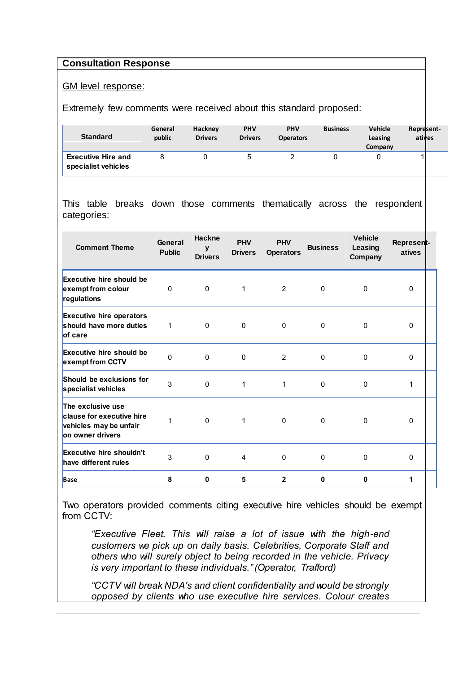#### **Consultation Response**

#### GM level response:

Extremely few comments were received about this standard proposed:

| <b>Standard</b>                                  | General<br>public | Hackney<br><b>Drivers</b> | <b>PHV</b><br><b>Drivers</b> | <b>PHV</b><br><b>Operators</b> | <b>Business</b> | <b>Vehicle</b><br>Leasing<br>Company | Represent-<br>atives |
|--------------------------------------------------|-------------------|---------------------------|------------------------------|--------------------------------|-----------------|--------------------------------------|----------------------|
| <b>Executive Hire and</b><br>specialist vehicles |                   |                           |                              | ▃                              |                 |                                      |                      |

This table breaks down those comments thematically across the respondent categories:

| <b>Comment Theme</b>                                                                         | General<br><b>Public</b> | <b>Hackne</b><br>y<br><b>Drivers</b> | <b>PHV</b><br><b>Drivers</b> | <b>PHV</b><br><b>Operators</b> | <b>Business</b> | <b>Vehicle</b><br>Leasing<br>Company | Represent-<br>atives |
|----------------------------------------------------------------------------------------------|--------------------------|--------------------------------------|------------------------------|--------------------------------|-----------------|--------------------------------------|----------------------|
| <b>Executive hire should be</b><br>exempt from colour<br>regulations                         | $\Omega$                 | $\Omega$                             | 1                            | 2                              | $\mathbf{0}$    | $\mathbf{0}$                         | $\mathbf{0}$         |
| <b>Executive hire operators</b><br>should have more duties<br>of care                        | $\mathbf 1$              | $\mathbf{0}$                         | $\mathbf{0}$                 | 0                              | 0               | $\mathbf{0}$                         | $\Omega$             |
| <b>Executive hire should be</b><br>exempt from CCTV                                          | $\Omega$                 | $\mathbf{0}$                         | $\mathbf 0$                  | $\overline{2}$                 | $\mathbf 0$     | $\Omega$                             | $\Omega$             |
| Should be exclusions for<br>specialist vehicles                                              | 3                        | 0                                    | 1                            | $\mathbf{1}$                   | 0               | $\mathbf 0$                          | 1                    |
| The exclusive use<br>clause for executive hire<br>vehicles may be unfair<br>on owner drivers | 1                        | $\Omega$                             | 1                            | $\Omega$                       | $\Omega$        | $\mathbf{0}$                         | 0                    |
| <b>Executive hire shouldn't</b><br>have different rules                                      | 3                        | $\mathbf{0}$                         | 4                            | $\mathbf 0$                    | $\mathbf 0$     | $\Omega$                             | $\mathbf{0}$         |
| <b>Base</b>                                                                                  | 8                        | 0                                    | 5                            | $\mathbf{2}$                   | $\mathbf{0}$    | $\mathbf 0$                          | 1                    |

Two operators provided comments citing executive hire vehicles should be exempt from CCTV:

*"Executive Fleet. This will raise a lot of issue with the high-end customers we pick up on daily basis. Celebrities, Corporate Staff and others who will surely object to being recorded in the vehicle. Privacy is very important to these individuals." (Operator, Trafford)*

*"CCTV will break NDA's and client confidentiality and would be strongly opposed by clients who use executive hire services. Colour creates*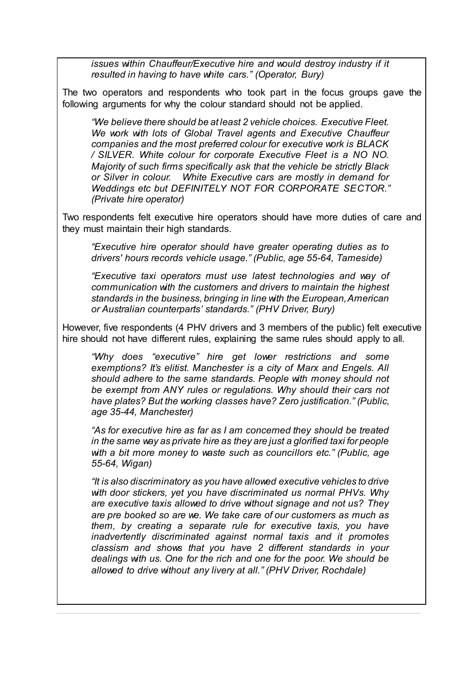*issues within Chauffeur/Executive hire and would destroy industry if it resulted in having to have white cars." (Operator, Bury)*

The two operators and respondents who took part in the focus groups gave the following arguments for why the colour standard should not be applied.

*"We believe there should be at least 2 vehicle choices. Executive Fleet. We work with lots of Global Travel agents and Executive Chauffeur companies and the most preferred colour for executive work is BLACK / SILVER. White colour for corporate Executive Fleet is a NO NO. Majority of such firms specifically ask that the vehicle be strictly Black or Silver in colour. White Executive cars are mostly in demand for Weddings etc but DEFINITELY NOT FOR CORPORATE SECTOR." (Private hire operator)*

Two respondents felt executive hire operators should have more duties of care and they must maintain their high standards.

*"Executive hire operator should have greater operating duties as to drivers' hours records vehicle usage." (Public, age 55-64, Tameside)*

*"Executive taxi operators must use latest technologies and way of communication with the customers and drivers to maintain the highest standards in the business, bringing in line with the European, American or Australian counterparts' standards." (PHV Driver, Bury)*

However, five respondents (4 PHV drivers and 3 members of the public) felt executive hire should not have different rules, explaining the same rules should apply to all.

*"Why does "executive" hire get lower restrictions and some exemptions? It's elitist. Manchester is a city of Marx and Engels. All should adhere to the same standards. People with money should not be exempt from ANY rules or regulations. Why should their cars not have plates? But the working classes have? Zero justification." (Public, age 35-44, Manchester)*

*"As for executive hire as far as I am concerned they should be treated in the same way as private hire as they are just a glorified taxi for people with a bit more money to waste such as councillors etc." (Public, age 55-64, Wigan)*

*"It is also discriminatory as you have allowed executive vehicles to drive with door stickers, yet you have discriminated us normal PHVs. Why are executive taxis allowed to drive without signage and not us? They are pre booked so are we. We take care of our customers as much as them, by creating a separate rule for executive taxis, you have inadvertently discriminated against normal taxis and it promotes classism and shows that you have 2 different standards in your dealings with us. One for the rich and one for the poor. We should be allowed to drive without any livery at all." (PHV Driver, Rochdale)*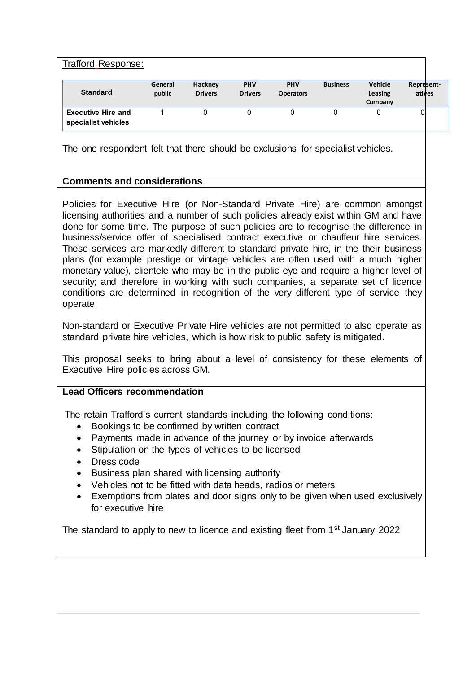| <b>Trafford Response:</b>                        |                   |                           |                              |                                |                 |                               |                      |
|--------------------------------------------------|-------------------|---------------------------|------------------------------|--------------------------------|-----------------|-------------------------------|----------------------|
| <b>Standard</b>                                  | General<br>public | Hackney<br><b>Drivers</b> | <b>PHV</b><br><b>Drivers</b> | <b>PHV</b><br><b>Operators</b> | <b>Business</b> | Vehicle<br>Leasing<br>Company | Represent-<br>atives |
| <b>Executive Hire and</b><br>specialist vehicles |                   |                           | 0                            |                                |                 |                               | 01                   |

The one respondent felt that there should be exclusions for specialist vehicles.

# **Comments and considerations**

Policies for Executive Hire (or Non-Standard Private Hire) are common amongst licensing authorities and a number of such policies already exist within GM and have done for some time. The purpose of such policies are to recognise the difference in business/service offer of specialised contract executive or chauffeur hire services. These services are markedly different to standard private hire, in the their business plans (for example prestige or vintage vehicles are often used with a much higher monetary value), clientele who may be in the public eye and require a higher level of security; and therefore in working with such companies, a separate set of licence conditions are determined in recognition of the very different type of service they operate.

Non-standard or Executive Private Hire vehicles are not permitted to also operate as standard private hire vehicles, which is how risk to public safety is mitigated.

This proposal seeks to bring about a level of consistency for these elements of Executive Hire policies across GM.

# **Lead Officers recommendation**

The retain Trafford's current standards including the following conditions:

- Bookings to be confirmed by written contract
- Payments made in advance of the journey or by invoice afterwards
- Stipulation on the types of vehicles to be licensed
- Dress code
- Business plan shared with licensing authority
- Vehicles not to be fitted with data heads, radios or meters
- Exemptions from plates and door signs only to be given when used exclusively for executive hire

The standard to apply to new to licence and existing fleet from 1<sup>st</sup> January 2022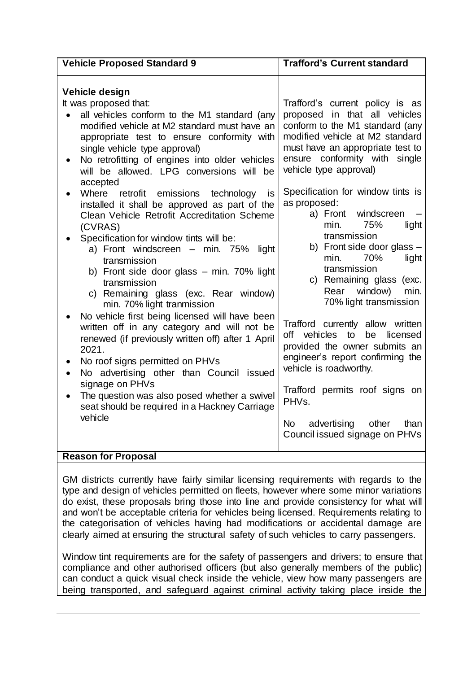| <b>Vehicle Proposed Standard 9</b>                                                                                                                                                                                                                                                                                                                                                                                                                                                                                                                                                                                                                                                                                                                                                                                                                                                                          | <b>Trafford's Current standard</b>                                                                                                                                                                                                                                                                                                                                                                                                                                                                                                                                                                                              |
|-------------------------------------------------------------------------------------------------------------------------------------------------------------------------------------------------------------------------------------------------------------------------------------------------------------------------------------------------------------------------------------------------------------------------------------------------------------------------------------------------------------------------------------------------------------------------------------------------------------------------------------------------------------------------------------------------------------------------------------------------------------------------------------------------------------------------------------------------------------------------------------------------------------|---------------------------------------------------------------------------------------------------------------------------------------------------------------------------------------------------------------------------------------------------------------------------------------------------------------------------------------------------------------------------------------------------------------------------------------------------------------------------------------------------------------------------------------------------------------------------------------------------------------------------------|
| Vehicle design<br>It was proposed that:<br>all vehicles conform to the M1 standard (any<br>modified vehicle at M2 standard must have an<br>appropriate test to ensure conformity with<br>single vehicle type approval)<br>No retrofitting of engines into older vehicles<br>will be allowed. LPG conversions will be<br>accepted<br>Where<br>retrofit emissions technology<br><b>IS</b><br>installed it shall be approved as part of the<br>Clean Vehicle Retrofit Accreditation Scheme<br>(CVRAS)<br>Specification for window tints will be:<br>a) Front windscreen - min. 75%<br>light<br>transmission<br>b) Front side door glass - min. 70% light<br>transmission<br>c) Remaining glass (exc. Rear window)<br>min. 70% light tranmission<br>No vehicle first being licensed will have been<br>written off in any category and will not be<br>renewed (if previously written off) after 1 April<br>2021. | Trafford's current policy is as<br>proposed in that all vehicles<br>conform to the M1 standard (any<br>modified vehicle at M2 standard<br>must have an appropriate test to<br>ensure conformity with single<br>vehicle type approval)<br>Specification for window tints is<br>as proposed:<br>a) Front windscreen<br>min.<br>75%<br>light<br>transmission<br>b) Front side door glass $-$<br>70%<br>light<br>min.<br>transmission<br>c) Remaining glass (exc.<br>window)<br>Rear<br>min.<br>70% light transmission<br>Trafford currently allow written<br>off vehicles<br>to<br>be<br>licensed<br>provided the owner submits an |
| No roof signs permitted on PHVs<br>No advertising other than Council issued<br>$\bullet$                                                                                                                                                                                                                                                                                                                                                                                                                                                                                                                                                                                                                                                                                                                                                                                                                    | engineer's report confirming the<br>vehicle is roadworthy.                                                                                                                                                                                                                                                                                                                                                                                                                                                                                                                                                                      |
| signage on PHVs<br>The question was also posed whether a swivel<br>seat should be required in a Hackney Carriage<br>vehicle                                                                                                                                                                                                                                                                                                                                                                                                                                                                                                                                                                                                                                                                                                                                                                                 | Trafford permits roof signs on<br>PHV <sub>s</sub> .                                                                                                                                                                                                                                                                                                                                                                                                                                                                                                                                                                            |
|                                                                                                                                                                                                                                                                                                                                                                                                                                                                                                                                                                                                                                                                                                                                                                                                                                                                                                             | <b>No</b><br>advertising other<br>than<br>Council issued signage on PHVs                                                                                                                                                                                                                                                                                                                                                                                                                                                                                                                                                        |
| <b>Reason for Proposal</b>                                                                                                                                                                                                                                                                                                                                                                                                                                                                                                                                                                                                                                                                                                                                                                                                                                                                                  |                                                                                                                                                                                                                                                                                                                                                                                                                                                                                                                                                                                                                                 |

GM districts currently have fairly similar licensing requirements with regards to the type and design of vehicles permitted on fleets, however where some minor variations do exist, these proposals bring those into line and provide consistency for what will and won't be acceptable criteria for vehicles being licensed. Requirements relating to the categorisation of vehicles having had modifications or accidental damage are clearly aimed at ensuring the structural safety of such vehicles to carry passengers.

Window tint requirements are for the safety of passengers and drivers; to ensure that compliance and other authorised officers (but also generally members of the public) can conduct a quick visual check inside the vehicle, view how many passengers are being transported, and safeguard against criminal activity taking place inside the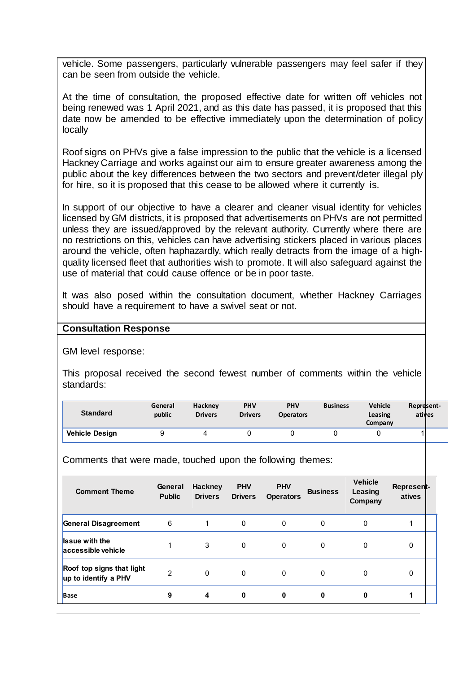vehicle. Some passengers, particularly vulnerable passengers may feel safer if they can be seen from outside the vehicle.

At the time of consultation, the proposed effective date for written off vehicles not being renewed was 1 April 2021, and as this date has passed, it is proposed that this date now be amended to be effective immediately upon the determination of policy locally

Roof signs on PHVs give a false impression to the public that the vehicle is a licensed Hackney Carriage and works against our aim to ensure greater awareness among the public about the key differences between the two sectors and prevent/deter illegal ply for hire, so it is proposed that this cease to be allowed where it currently is.

In support of our objective to have a clearer and cleaner visual identity for vehicles licensed by GM districts, it is proposed that advertisements on PHVs are not permitted unless they are issued/approved by the relevant authority. Currently where there are no restrictions on this, vehicles can have advertising stickers placed in various places around the vehicle, often haphazardly, which really detracts from the image of a highquality licensed fleet that authorities wish to promote. It will also safeguard against the use of material that could cause offence or be in poor taste.

It was also posed within the consultation document, whether Hackney Carriages should have a requirement to have a swivel seat or not.

#### **Consultation Response**

GM level response:

This proposal received the second fewest number of comments within the vehicle standards:

| <b>Standard</b>       | General<br>public | <b>Hackney</b><br><b>Drivers</b> | <b>PHV</b><br><b>Drivers</b> | <b>PHV</b><br><b>Operators</b> | <b>Business</b> | <b>Vehicle</b><br>Leasing<br>Company | Represent-<br>atives |
|-----------------------|-------------------|----------------------------------|------------------------------|--------------------------------|-----------------|--------------------------------------|----------------------|
| <b>Vehicle Design</b> |                   | 4                                |                              |                                |                 |                                      |                      |

Comments that were made, touched upon the following themes:

| <b>Comment Theme</b>                              | General<br><b>Public</b> | Hackney<br><b>Drivers</b> | <b>PHV</b><br><b>Drivers</b> | <b>PHV</b><br><b>Operators</b> | <b>Business</b> | <b>Vehicle</b><br>Leasing<br>Company | Represent-<br>atives |
|---------------------------------------------------|--------------------------|---------------------------|------------------------------|--------------------------------|-----------------|--------------------------------------|----------------------|
| General Disagreement                              | 6                        |                           | 0                            | 0                              | 0               | 0                                    |                      |
| <b>Issue with the</b><br>accessible vehicle       |                          | 3                         | $\Omega$                     | $\Omega$                       | 0               | $\Omega$                             | 0                    |
| Roof top signs that light<br>up to identify a PHV | $\overline{2}$           | $\mathbf{0}$              | 0                            | $\mathbf{0}$                   | 0               | $\Omega$                             | 0                    |
| <b>Base</b>                                       | 9                        | 4                         | 0                            | 0                              | 0               | 0                                    |                      |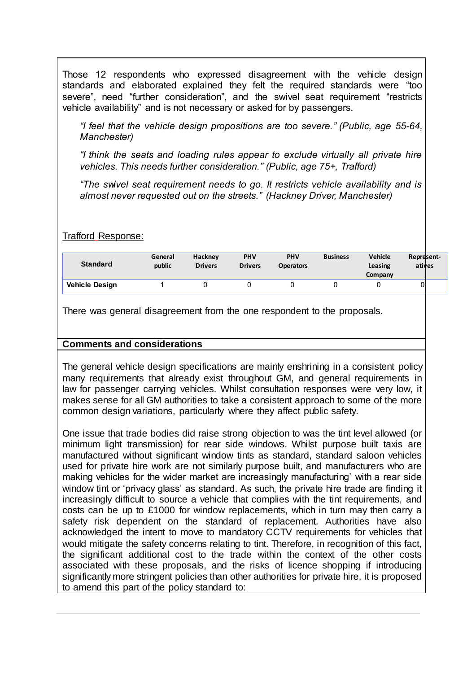Those 12 respondents who expressed disagreement with the vehicle design standards and elaborated explained they felt the required standards were "too severe", need "further consideration", and the swivel seat requirement "restricts vehicle availability" and is not necessary or asked for by passengers.

*"I feel that the vehicle design propositions are too severe." (Public, age 55-64, Manchester)*

*"I think the seats and loading rules appear to exclude virtually all private hire vehicles. This needs further consideration." (Public, age 75+, Trafford)*

*"The swivel seat requirement needs to go. It restricts vehicle availability and is almost never requested out on the streets." (Hackney Driver, Manchester)*

Trafford Response:

| <b>Standard</b>       | General<br>public | Hackney<br><b>Drivers</b> | <b>PHV</b><br><b>Drivers</b> | <b>PHV</b><br><b>Operators</b> | <b>Business</b> | <b>Vehicle</b><br>Leasing<br>Company | Represent-<br>atives |
|-----------------------|-------------------|---------------------------|------------------------------|--------------------------------|-----------------|--------------------------------------|----------------------|
| <b>Vehicle Design</b> |                   |                           |                              |                                |                 |                                      |                      |

There was general disagreement from the one respondent to the proposals.

# **Comments and considerations**

The general vehicle design specifications are mainly enshrining in a consistent policy many requirements that already exist throughout GM, and general requirements in law for passenger carrying vehicles. Whilst consultation responses were very low, it makes sense for all GM authorities to take a consistent approach to some of the more common design variations, particularly where they affect public safety.

One issue that trade bodies did raise strong objection to was the tint level allowed (or minimum light transmission) for rear side windows. Whilst purpose built taxis are manufactured without significant window tints as standard, standard saloon vehicles used for private hire work are not similarly purpose built, and manufacturers who are making vehicles for the wider market are increasingly manufacturing' with a rear side window tint or 'privacy glass' as standard. As such, the private hire trade are finding it increasingly difficult to source a vehicle that complies with the tint requirements, and costs can be up to £1000 for window replacements, which in turn may then carry a safety risk dependent on the standard of replacement. Authorities have also acknowledged the intent to move to mandatory CCTV requirements for vehicles that would mitigate the safety concerns relating to tint. Therefore, in recognition of this fact, the significant additional cost to the trade within the context of the other costs associated with these proposals, and the risks of licence shopping if introducing significantly more stringent policies than other authorities for private hire, it is proposed to amend this part of the policy standard to: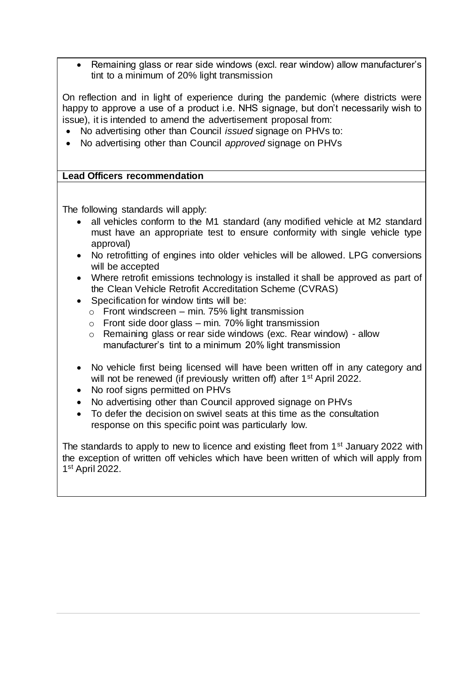• Remaining glass or rear side windows (excl. rear window) allow manufacturer's tint to a minimum of 20% light transmission

On reflection and in light of experience during the pandemic (where districts were happy to approve a use of a product i.e. NHS signage, but don't necessarily wish to issue), it is intended to amend the advertisement proposal from:

- No advertising other than Council *issued* signage on PHVs to:
- No advertising other than Council *approved* signage on PHVs

# **Lead Officers recommendation**

The following standards will apply:

- all vehicles conform to the M1 standard (any modified vehicle at M2 standard must have an appropriate test to ensure conformity with single vehicle type approval)
- No retrofitting of engines into older vehicles will be allowed. LPG conversions will be accepted
- Where retrofit emissions technology is installed it shall be approved as part of the Clean Vehicle Retrofit Accreditation Scheme (CVRAS)
- Specification for window tints will be:
	- $\circ$  Front windscreen min. 75% light transmission
	- $\circ$  Front side door glass min. 70% light transmission
	- o Remaining glass or rear side windows (exc. Rear window) allow manufacturer's tint to a minimum 20% light transmission
- No vehicle first being licensed will have been written off in any category and will not be renewed (if previously written off) after 1<sup>st</sup> April 2022.
- No roof signs permitted on PHVs
- No advertising other than Council approved signage on PHVs
- To defer the decision on swivel seats at this time as the consultation response on this specific point was particularly low.

The standards to apply to new to licence and existing fleet from 1<sup>st</sup> January 2022 with the exception of written off vehicles which have been written of which will apply from 1 st April 2022.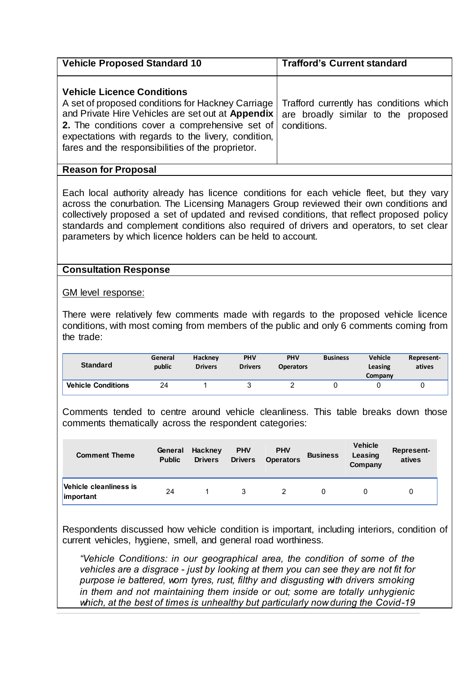| <b>Vehicle Proposed Standard 10</b>                                                                                                                                                                                                                                                                                   | <b>Trafford's Current standard</b>                                             |  |  |  |  |
|-----------------------------------------------------------------------------------------------------------------------------------------------------------------------------------------------------------------------------------------------------------------------------------------------------------------------|--------------------------------------------------------------------------------|--|--|--|--|
| <b>Vehicle Licence Conditions</b><br>A set of proposed conditions for Hackney Carriage<br>and Private Hire Vehicles are set out at Appendix<br>2. The conditions cover a comprehensive set of conditions.<br>expectations with regards to the livery, condition,<br>fares and the responsibilities of the proprietor. | Trafford currently has conditions which<br>are broadly similar to the proposed |  |  |  |  |
| <b>Reason for Proposal</b>                                                                                                                                                                                                                                                                                            |                                                                                |  |  |  |  |

Each local authority already has licence conditions for each vehicle fleet, but they vary across the conurbation. The Licensing Managers Group reviewed their own conditions and collectively proposed a set of updated and revised conditions, that reflect proposed policy standards and complement conditions also required of drivers and operators, to set clear parameters by which licence holders can be held to account.

#### **Consultation Response**

GM level response:

There were relatively few comments made with regards to the proposed vehicle licence conditions, with most coming from members of the public and only 6 comments coming from the trade:

| <b>Standard</b>           | General<br>public | Hackney<br><b>Drivers</b> | <b>PHV</b><br><b>Drivers</b> | <b>PHV</b><br><b>Operators</b> | <b>Business</b> | <b>Vehicle</b><br>Leasing<br>Company | Represent-<br>atives |
|---------------------------|-------------------|---------------------------|------------------------------|--------------------------------|-----------------|--------------------------------------|----------------------|
| <b>Vehicle Conditions</b> | 24                |                           |                              |                                |                 |                                      |                      |

Comments tended to centre around vehicle cleanliness. This table breaks down those comments thematically across the respondent categories:

| <b>Comment Theme</b>                | General<br><b>Public</b> | Hackney<br><b>Drivers</b> | <b>PHV</b><br><b>Drivers</b> | <b>PHV</b><br><b>Operators</b> | <b>Business</b> | <b>Vehicle</b><br>Leasing<br>Company | Represent-<br>atives |
|-------------------------------------|--------------------------|---------------------------|------------------------------|--------------------------------|-----------------|--------------------------------------|----------------------|
| Vehicle cleanliness is<br>important | 24                       |                           |                              |                                |                 |                                      | 0                    |

Respondents discussed how vehicle condition is important, including interiors, condition of current vehicles, hygiene, smell, and general road worthiness.

*"Vehicle Conditions: in our geographical area, the condition of some of the vehicles are a disgrace - just by looking at them you can see they are not fit for purpose ie battered, worn tyres, rust, filthy and disgusting with drivers smoking in them and not maintaining them inside or out; some are totally unhygienic which, at the best of times is unhealthy but particularly now during the Covid-19*